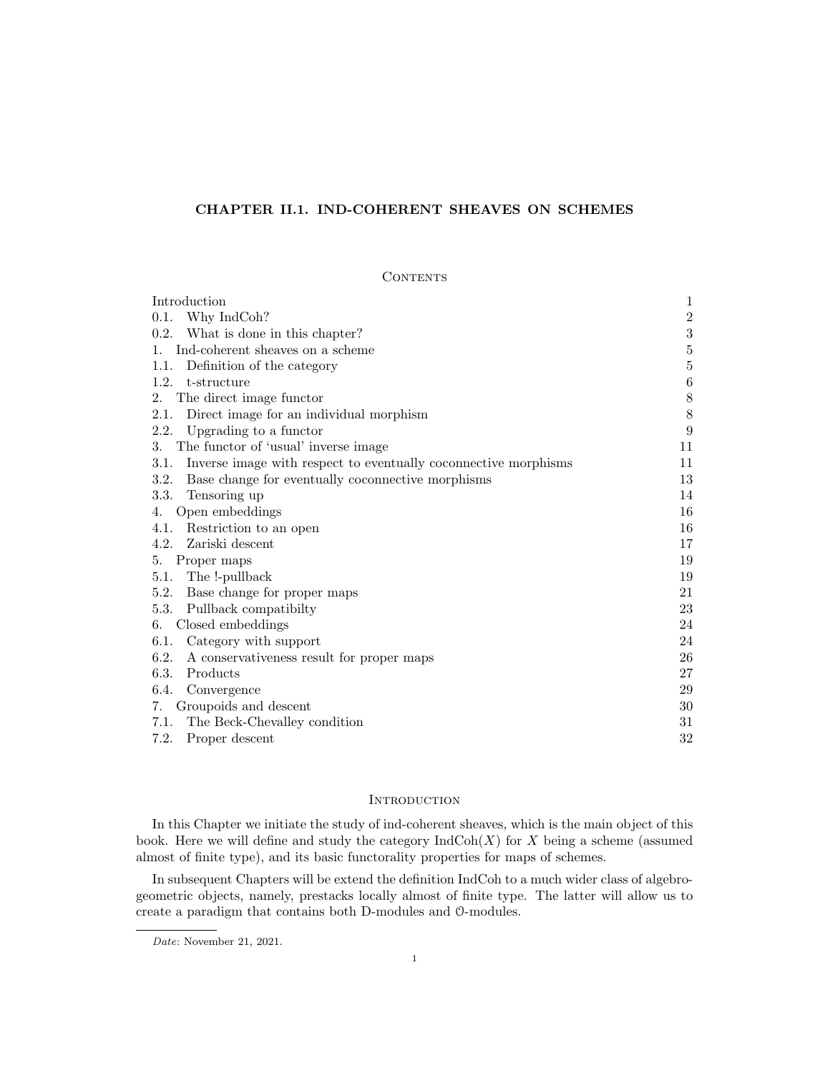# CHAPTER II.1. IND-COHERENT SHEAVES ON SCHEMES

# **CONTENTS**

| Introduction                                                            | 1                |
|-------------------------------------------------------------------------|------------------|
| 0.1. Why IndCoh?                                                        | $\sqrt{2}$       |
| 0.2. What is done in this chapter?                                      | $\sqrt{3}$       |
| Ind-coherent sheaves on a scheme<br>1.                                  | $\bf 5$          |
| Definition of the category<br>1.1.                                      | $\bf 5$          |
| 1.2.<br>t-structure                                                     | $\,6$            |
| The direct image functor<br>2.                                          | $8\,$            |
| Direct image for an individual morphism<br>2.1.                         | $8\,$            |
| Upgrading to a functor<br>2.2.                                          | $\boldsymbol{9}$ |
| The functor of 'usual' inverse image<br>3.                              | 11               |
| Inverse image with respect to eventually coconnective morphisms<br>3.1. | 11               |
| 3.2.<br>Base change for eventually coconnective morphisms               | 13               |
| Tensoring up<br>3.3.                                                    | 14               |
| Open embeddings<br>4.                                                   | 16               |
| Restriction to an open<br>4.1.                                          | 16               |
| Zariski descent<br>4.2.                                                 | 17               |
| Proper maps<br>5.                                                       | 19               |
| 5.1. The !-pullback                                                     | 19               |
| Base change for proper maps<br>5.2.                                     | 21               |
| 5.3.<br>Pullback compatibilty                                           | 23               |
| Closed embeddings<br>6.                                                 | 24               |
| Category with support<br>6.1.                                           | 24               |
| 6.2.<br>A conservativeness result for proper maps                       | 26               |
| Products<br>6.3.                                                        | 27               |
| 6.4.<br>Convergence                                                     | 29               |
| Groupoids and descent<br>7.                                             | 30               |
| The Beck-Chevalley condition<br>7.1.                                    | 31               |
| 7.2.<br>Proper descent                                                  | 32               |

# **INTRODUCTION**

In this Chapter we initiate the study of ind-coherent sheaves, which is the main object of this book. Here we will define and study the category  $\text{IndCoh}(X)$  for X being a scheme (assumed almost of finite type), and its basic functorality properties for maps of schemes.

In subsequent Chapters will be extend the definition IndCoh to a much wider class of algebrogeometric objects, namely, prestacks locally almost of finite type. The latter will allow us to create a paradigm that contains both D-modules and O-modules.

Date: November 21, 2021.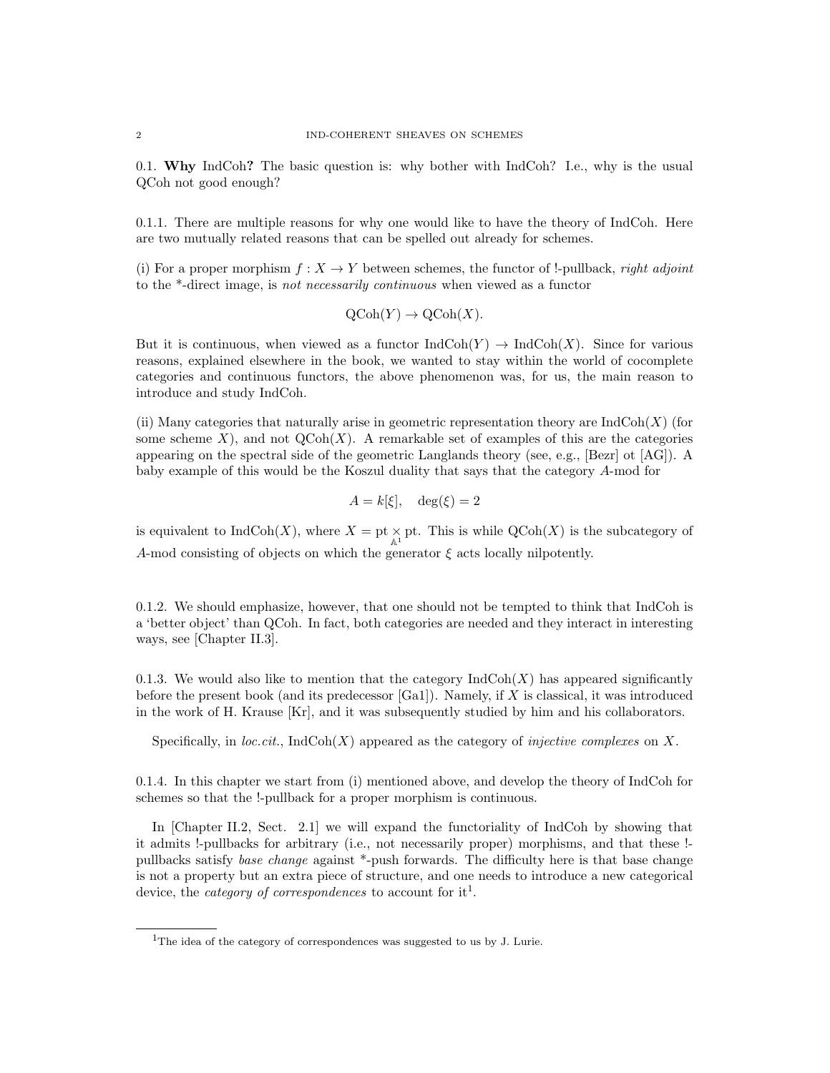0.1. Why IndCoh? The basic question is: why bother with IndCoh? I.e., why is the usual QCoh not good enough?

0.1.1. There are multiple reasons for why one would like to have the theory of IndCoh. Here are two mutually related reasons that can be spelled out already for schemes.

(i) For a proper morphism  $f: X \to Y$  between schemes, the functor of !-pullback, *right adjoint* to the \*-direct image, is not necessarily continuous when viewed as a functor

$$
\mathrm{QCoh}(Y) \to \mathrm{QCoh}(X).
$$

But it is continuous, when viewed as a functor  $\text{IndCoh}(Y) \to \text{IndCoh}(X)$ . Since for various reasons, explained elsewhere in the book, we wanted to stay within the world of cocomplete categories and continuous functors, the above phenomenon was, for us, the main reason to introduce and study IndCoh.

(ii) Many categories that naturally arise in geometric representation theory are  $IndCoh(X)$  (for some scheme  $X$ ), and not  $\mathrm{QCoh}(X)$ . A remarkable set of examples of this are the categories appearing on the spectral side of the geometric Langlands theory (see, e.g., [Bezr] ot [AG]). A baby example of this would be the Koszul duality that says that the category A-mod for

$$
A = k[\xi], \quad \deg(\xi) = 2
$$

is equivalent to  $\text{IndCoh}(X)$ , where  $X = \text{pt} \times_{\mathbb{A}^1} \text{pt}$ . This is while  $\text{QCoh}(X)$  is the subcategory of A-mod consisting of objects on which the generator  $\xi$  acts locally nilpotently.

0.1.2. We should emphasize, however, that one should not be tempted to think that IndCoh is a 'better object' than QCoh. In fact, both categories are needed and they interact in interesting ways, see [Chapter II.3].

0.1.3. We would also like to mention that the category  $\text{IndCoh}(X)$  has appeared significantly before the present book (and its predecessor  $[Ga1]$ ). Namely, if X is classical, it was introduced in the work of H. Krause [Kr], and it was subsequently studied by him and his collaborators.

Specifically, in loc.cit., IndCoh(X) appeared as the category of *injective complexes* on X.

0.1.4. In this chapter we start from (i) mentioned above, and develop the theory of IndCoh for schemes so that the !-pullback for a proper morphism is continuous.

In [Chapter II.2, Sect. 2.1] we will expand the functoriality of IndCoh by showing that it admits !-pullbacks for arbitrary (i.e., not necessarily proper) morphisms, and that these ! pullbacks satisfy base change against \*-push forwards. The difficulty here is that base change is not a property but an extra piece of structure, and one needs to introduce a new categorical device, the *category of correspondences* to account for it<sup>1</sup>.

<sup>&</sup>lt;sup>1</sup>The idea of the category of correspondences was suggested to us by J. Lurie.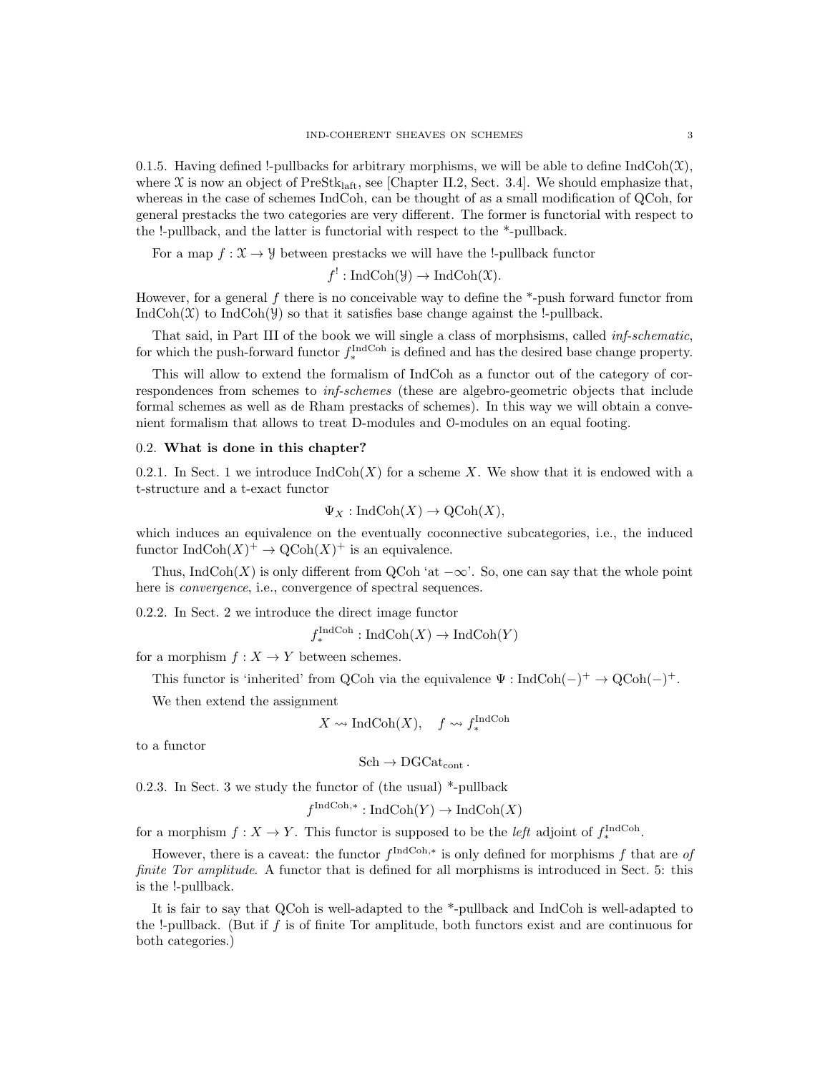0.1.5. Having defined !-pullbacks for arbitrary morphisms, we will be able to define  $IndCoh(\mathcal{X})$ , where  $\mathfrak X$  is now an object of PreStk<sub>laft</sub>, see [Chapter II.2, Sect. 3.4]. We should emphasize that, whereas in the case of schemes IndCoh, can be thought of as a small modification of QCoh, for general prestacks the two categories are very different. The former is functorial with respect to the !-pullback, and the latter is functorial with respect to the \*-pullback.

For a map  $f: \mathfrak{X} \to \mathcal{Y}$  between prestacks we will have the !-pullback functor

 $f' : \text{IndCoh}(\mathcal{Y}) \to \text{IndCoh}(\mathcal{X}).$ 

However, for a general  $f$  there is no conceivable way to define the  $*$ -push forward functor from IndCoh( $X$ ) to IndCoh( $Y$ ) so that it satisfies base change against the !-pullback.

That said, in Part III of the book we will single a class of morphsisms, called inf-schematic, for which the push-forward functor  $f_*^{\text{IndCoh}}$  is defined and has the desired base change property.

This will allow to extend the formalism of IndCoh as a functor out of the category of correspondences from schemes to inf-schemes (these are algebro-geometric objects that include formal schemes as well as de Rham prestacks of schemes). In this way we will obtain a convenient formalism that allows to treat D-modules and O-modules on an equal footing.

## 0.2. What is done in this chapter?

0.2.1. In Sect. 1 we introduce  $\text{IndCoh}(X)$  for a scheme X. We show that it is endowed with a t-structure and a t-exact functor

$$
\Psi_X : \text{IndCoh}(X) \to \text{QCoh}(X),
$$

which induces an equivalence on the eventually coconnective subcategories, i.e., the induced functor  $\text{IndCoh}(X)^+ \to \text{QCoh}(X)^+$  is an equivalence.

Thus, IndCoh(X) is only different from QCoh 'at  $-\infty$ '. So, one can say that the whole point here is *convergence*, i.e., convergence of spectral sequences.

0.2.2. In Sect. 2 we introduce the direct image functor

$$
f_*^{\text{IndCoh}} : \text{IndCoh}(X) \to \text{IndCoh}(Y)
$$

for a morphism  $f : X \to Y$  between schemes.

This functor is 'inherited' from QCoh via the equivalence  $\Psi : \text{IndCoh}(-)^+ \to \text{QCoh}(-)^+$ .

We then extend the assignment

$$
X \rightsquigarrow \text{IndCoh}(X), \quad f \rightsquigarrow f_*^{\text{IndCoh}}
$$

to a functor

$$
\mathrm{Sch}\to \mathrm{DGCat}_{\mathrm{cont}}\,.
$$

0.2.3. In Sect. 3 we study the functor of (the usual) \*-pullback

$$
f^{\text{IndCoh},*}: \text{IndCoh}(Y) \to \text{IndCoh}(X)
$$

for a morphism  $f: X \to Y$ . This functor is supposed to be the *left* adjoint of  $f_*^{\text{IndCoh}}$ .

However, there is a caveat: the functor  $f^{\text{IndCoh},*}$  is only defined for morphisms f that are of finite Tor amplitude. A functor that is defined for all morphisms is introduced in Sect. 5: this is the !-pullback.

It is fair to say that QCoh is well-adapted to the \*-pullback and IndCoh is well-adapted to the !-pullback. (But if f is of finite Tor amplitude, both functors exist and are continuous for both categories.)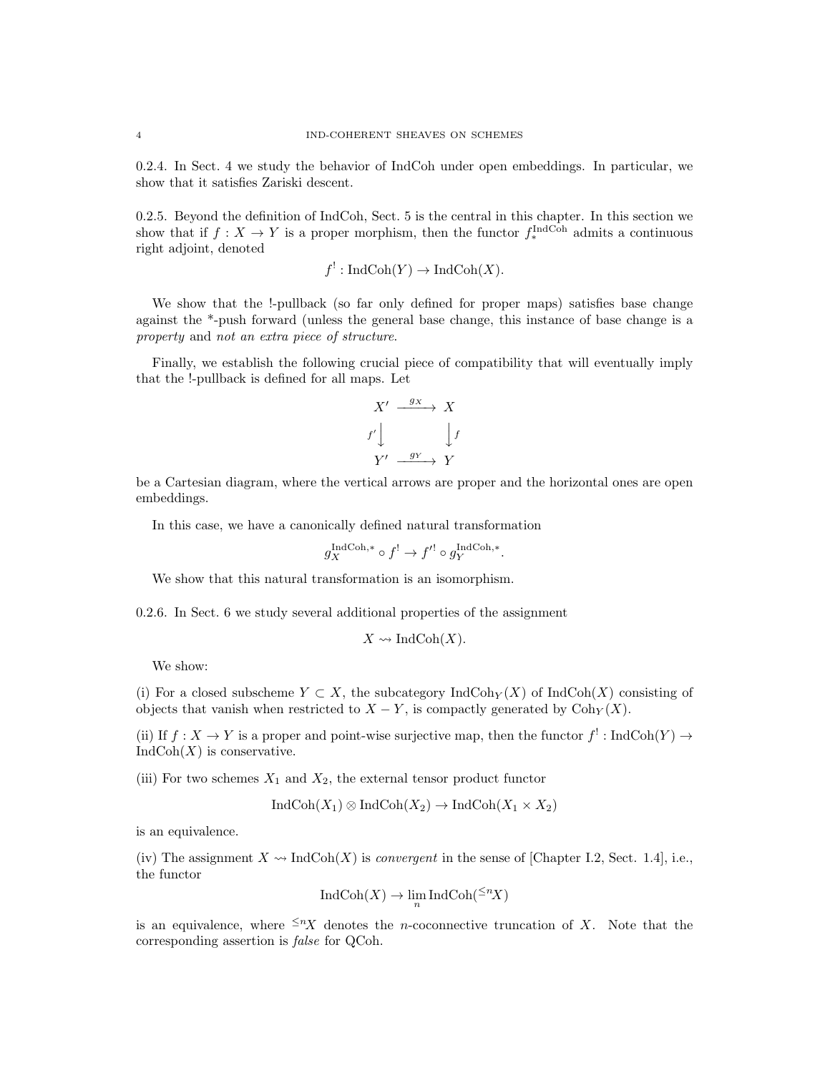0.2.4. In Sect. 4 we study the behavior of IndCoh under open embeddings. In particular, we show that it satisfies Zariski descent.

0.2.5. Beyond the definition of IndCoh, Sect. 5 is the central in this chapter. In this section we show that if  $f: X \to Y$  is a proper morphism, then the functor  $f_*^{\text{IndCoh}}$  admits a continuous right adjoint, denoted

$$
f^!: \text{IndCoh}(Y) \to \text{IndCoh}(X).
$$

We show that the !-pullback (so far only defined for proper maps) satisfies base change against the \*-push forward (unless the general base change, this instance of base change is a property and not an extra piece of structure.

Finally, we establish the following crucial piece of compatibility that will eventually imply that the !-pullback is defined for all maps. Let

$$
X' \xrightarrow{gx} X
$$
  

$$
f' \downarrow \qquad \qquad \downarrow f
$$
  

$$
Y' \xrightarrow{g_Y} Y
$$

be a Cartesian diagram, where the vertical arrows are proper and the horizontal ones are open embeddings.

In this case, we have a canonically defined natural transformation

$$
g_X^{\text{IndCoh},*} \circ f^! \to f'^! \circ g_Y^{\text{IndCoh},*}.
$$

We show that this natural transformation is an isomorphism.

0.2.6. In Sect. 6 we study several additional properties of the assignment

$$
X \rightsquigarrow \text{IndCoh}(X).
$$

We show:

(i) For a closed subscheme  $Y \subset X$ , the subcategory IndCoh<sub>Y</sub>(X) of IndCoh(X) consisting of objects that vanish when restricted to  $X - Y$ , is compactly generated by Coh $_Y(X)$ .

(ii) If  $f: X \to Y$  is a proper and point-wise surjective map, then the functor  $f' : \text{IndCoh}(Y) \to Y$  $IndCoh(X)$  is conservative.

(iii) For two schemes  $X_1$  and  $X_2$ , the external tensor product functor

$$
IndCoh(X_1) \otimes IndCoh(X_2) \to IndCoh(X_1 \times X_2)
$$

is an equivalence.

(iv) The assignment  $X \rightsquigarrow \text{IndCoh}(X)$  is *convergent* in the sense of [Chapter I.2, Sect. 1.4], i.e., the functor

$$
IndCoh(X) \to \lim_{n} IndCoh({}^{\leq n}X)
$$

is an equivalence, where  $\leq nX$  denotes the *n*-coconnective truncation of X. Note that the corresponding assertion is false for QCoh.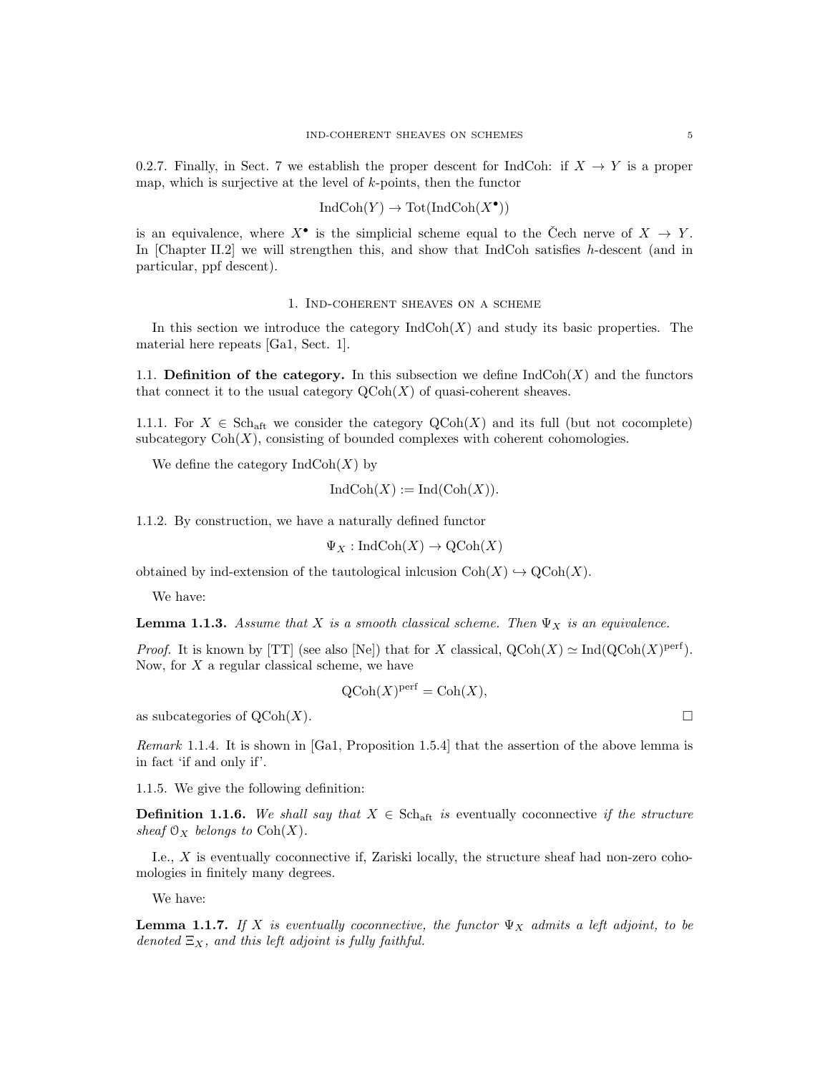0.2.7. Finally, in Sect. 7 we establish the proper descent for IndCoh: if  $X \to Y$  is a proper map, which is surjective at the level of  $k$ -points, then the functor

$$
IndCoh(Y) \to Tot(IndCoh(X^{\bullet}))
$$

is an equivalence, where  $X^{\bullet}$  is the simplicial scheme equal to the Čech nerve of  $X \to Y$ . In [Chapter II.2] we will strengthen this, and show that IndCoh satisfies  $h$ -descent (and in particular, ppf descent).

# 1. Ind-coherent sheaves on a scheme

In this section we introduce the category  $\text{IndCoh}(X)$  and study its basic properties. The material here repeats [Ga1, Sect. 1].

1.1. Definition of the category. In this subsection we define  $\text{IndCoh}(X)$  and the functors that connect it to the usual category  $\mathrm{QCoh}(X)$  of quasi-coherent sheaves.

1.1.1. For  $X \in \text{Sch}_{\text{aff}}$  we consider the category  $\text{QCoh}(X)$  and its full (but not cocomplete) subcategory  $Coh(X)$ , consisting of bounded complexes with coherent cohomologies.

We define the category  $\text{IndCoh}(X)$  by

$$
IndCoh(X) := Ind(Coh(X)).
$$

1.1.2. By construction, we have a naturally defined functor

 $\Psi_X : \text{IndCoh}(X) \to \text{QCoh}(X)$ 

obtained by ind-extension of the tautological inlcusion  $\mathrm{Coh}(X) \hookrightarrow \mathrm{QCoh}(X)$ .

We have:

**Lemma 1.1.3.** Assume that X is a smooth classical scheme. Then  $\Psi_X$  is an equivalence.

*Proof.* It is known by [TT] (see also [Ne]) that for X classical,  $Q\text{Coh}(X) \simeq \text{Ind}(Q\text{Coh}(X)^{\text{perf}})$ . Now, for  $X$  a regular classical scheme, we have

$$
\mathrm{QCoh}(X)^{\mathrm{perf}} = \mathrm{Coh}(X),
$$

as subcategories of  $\mathrm{QCoh}(X)$ .

Remark 1.1.4. It is shown in [Ga1, Proposition 1.5.4] that the assertion of the above lemma is in fact 'if and only if'.

1.1.5. We give the following definition:

**Definition 1.1.6.** We shall say that  $X \in Sch_{\text{aff}}$  is eventually coconnective if the structure sheaf  $\mathfrak{O}_X$  belongs to  $\text{Coh}(X)$ .

I.e., X is eventually coconnective if, Zariski locally, the structure sheaf had non-zero cohomologies in finitely many degrees.

We have:

**Lemma 1.1.7.** If X is eventually coconnective, the functor  $\Psi_X$  admits a left adjoint, to be denoted  $\Xi_X$ , and this left adjoint is fully faithful.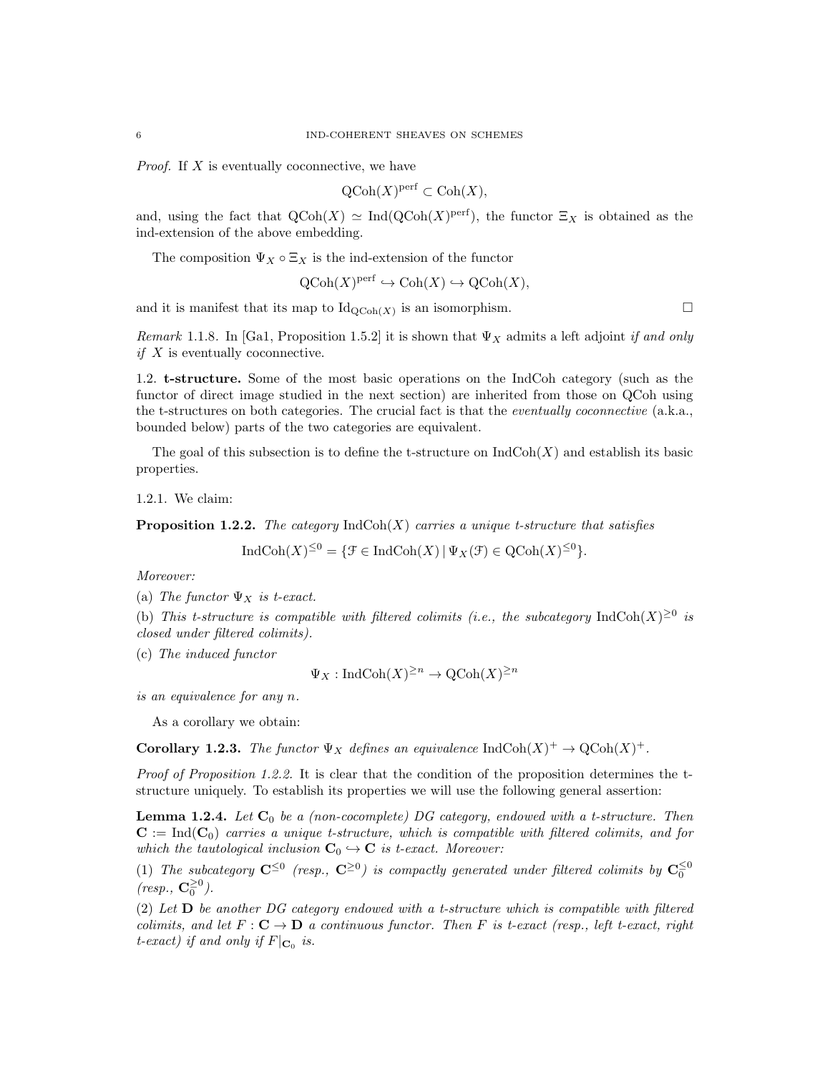*Proof.* If  $X$  is eventually coconnective, we have

$$
\mathrm{QCoh}(X)^{\mathrm{perf}} \subset \mathrm{Coh}(X),
$$

and, using the fact that  $\mathrm{QCoh}(X) \simeq \mathrm{Ind}(\mathrm{QCoh}(X)^{\mathrm{perf}})$ , the functor  $\Xi_X$  is obtained as the ind-extension of the above embedding.

The composition  $\Psi_X \circ \Xi_X$  is the ind-extension of the functor

$$
\mathrm{QCoh}(X)^{\mathrm{perf}} \hookrightarrow \mathrm{Coh}(X) \hookrightarrow \mathrm{QCoh}(X),
$$

and it is manifest that its map to  $\mathrm{Id}_{\mathrm{QCoh}(X)}$  is an isomorphism.

Remark 1.1.8. In [Ga1, Proposition 1.5.2] it is shown that  $\Psi_X$  admits a left adjoint if and only if X is eventually coconnective.

1.2. t-structure. Some of the most basic operations on the IndCoh category (such as the functor of direct image studied in the next section) are inherited from those on QCoh using the t-structures on both categories. The crucial fact is that the *eventually coconnective* (a.k.a., bounded below) parts of the two categories are equivalent.

The goal of this subsection is to define the t-structure on  $IndCoh(X)$  and establish its basic properties.

1.2.1. We claim:

**Proposition 1.2.2.** The category  $\text{IndCoh}(X)$  carries a unique t-structure that satisfies

$$
IndCoh(X)^{\leq 0} = \{ \mathcal{F} \in IndCoh(X) \, | \, \Psi_X(\mathcal{F}) \in QCoh(X)^{\leq 0} \}.
$$

Moreover:

(a) The functor  $\Psi_X$  is t-exact.

(b) This t-structure is compatible with filtered colimits (i.e., the subcategory IndCoh(X)<sup>20</sup> is closed under filtered colimits).

(c) The induced functor

$$
\Psi_X : \mathrm{IndCoh}(X)^{\ge n} \to \mathrm{QCoh}(X)^{\ge n}
$$

is an equivalence for any n.

As a corollary we obtain:

**Corollary 1.2.3.** The functor  $\Psi_X$  defines an equivalence IndCoh $(X)^+ \to \mathrm{QCoh}(X)^+$ .

Proof of Proposition 1.2.2. It is clear that the condition of the proposition determines the tstructure uniquely. To establish its properties we will use the following general assertion:

**Lemma 1.2.4.** Let  $C_0$  be a (non-cocomplete) DG category, endowed with a t-structure. Then  $C := Ind(C_0)$  carries a unique t-structure, which is compatible with filtered colimits, and for which the tautological inclusion  $C_0 \hookrightarrow C$  is t-exact. Moreover:

(1) The subcategory  $\mathbf{C}^{\leq 0}$  (resp.,  $\mathbf{C}^{\geq 0}$ ) is compactly generated under filtered colimits by  $\mathbf{C}_0^{\leq 0}$  $(resp., \mathbf{C}_0^{\geq 0}).$ 

(2) Let D be another DG category endowed with a t-structure which is compatible with filtered colimits, and let  $F : \mathbf{C} \to \mathbf{D}$  a continuous functor. Then F is t-exact (resp., left t-exact, right t-exact) if and only if  $F|_{\mathbf{C}_0}$  is.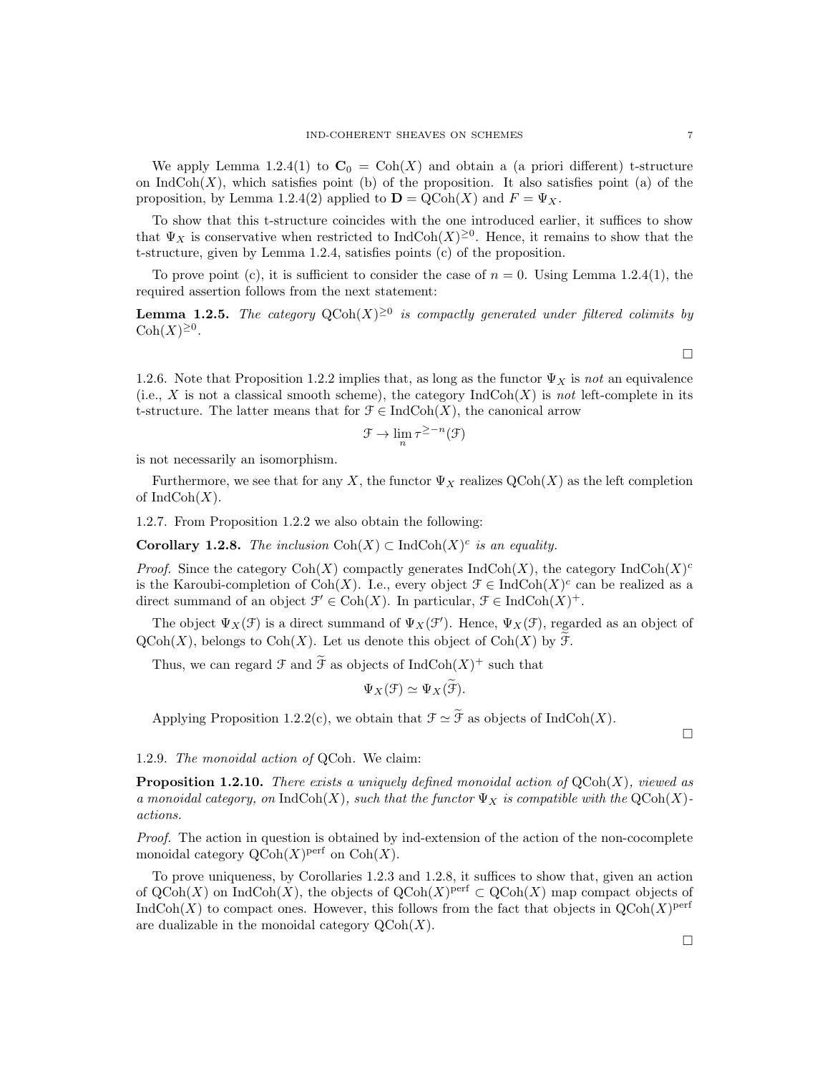We apply Lemma 1.2.4(1) to  $C_0 = \text{Coh}(X)$  and obtain a (a priori different) t-structure on  $\text{IndCoh}(X)$ , which satisfies point (b) of the proposition. It also satisfies point (a) of the proposition, by Lemma 1.2.4(2) applied to  $\mathbf{D} = \mathrm{QCoh}(X)$  and  $F = \Psi_X$ .

To show that this t-structure coincides with the one introduced earlier, it suffices to show that  $\Psi_X$  is conservative when restricted to  $\text{IndCoh}(X)^{\geq 0}$ . Hence, it remains to show that the t-structure, given by Lemma 1.2.4, satisfies points (c) of the proposition.

To prove point (c), it is sufficient to consider the case of  $n = 0$ . Using Lemma 1.2.4(1), the required assertion follows from the next statement:

**Lemma 1.2.5.** The category  $Q\text{Coh}(X)^{\geq 0}$  is compactly generated under filtered colimits by  $\mathrm{Coh}(X)^{\geq 0}$ .

1.2.6. Note that Proposition 1.2.2 implies that, as long as the functor  $\Psi_X$  is not an equivalence (i.e., X is not a classical smooth scheme), the category  $IndCoh(X)$  is not left-complete in its t-structure. The latter means that for  $\mathcal{F} \in \text{IndCoh}(X)$ , the canonical arrow

$$
\mathcal{F} \to \lim_{n} \tau^{\geq -n}(\mathcal{F})
$$

is not necessarily an isomorphism.

Furthermore, we see that for any X, the functor  $\Psi_X$  realizes  $\mathrm{QCoh}(X)$  as the left completion of  $IndCoh(X)$ .

1.2.7. From Proposition 1.2.2 we also obtain the following:

**Corollary 1.2.8.** The inclusion  $\text{Coh}(X) \subset \text{IndCoh}(X)^c$  is an equality.

*Proof.* Since the category  $\text{Coh}(X)$  compactly generates  $\text{IndCoh}(X)$ , the category  $\text{IndCoh}(X)^c$ is the Karoubi-completion of Coh(X). I.e., every object  $\mathcal{F} \in \text{IndCoh}(X)^c$  can be realized as a direct summand of an object  $\mathcal{F}' \in \text{Coh}(X)$ . In particular,  $\mathcal{F} \in \text{IndCoh}(X)^+$ .

The object  $\Psi_X(\mathcal{F})$  is a direct summand of  $\Psi_X(\mathcal{F})$ . Hence,  $\Psi_X(\mathcal{F})$ , regarded as an object of  $\mathrm{QCoh}(X)$ , belongs to  $\mathrm{Coh}(X)$ . Let us denote this object of  $\mathrm{Coh}(X)$  by  $\mathcal{F}$ .

Thus, we can regard  $\mathcal F$  and  $\tilde{\mathcal F}$  as objects of  $\mathrm{IndCoh}(X)^+$  such that

$$
\Psi_X(\mathcal{F}) \simeq \Psi_X(\mathcal{F}).
$$

Applying Proposition 1.2.2(c), we obtain that  $\mathcal{F} \simeq \widetilde{\mathcal{F}}$  as objects of IndCoh(X).

 $\Box$ 

1.2.9. The monoidal action of QCoh. We claim:

**Proposition 1.2.10.** There exists a uniquely defined monoidal action of  $QCoh(X)$ , viewed as a monoidal category, on IndCoh(X), such that the functor  $\Psi_X$  is compatible with the  $\text{QCoh}(X)$ actions.

Proof. The action in question is obtained by ind-extension of the action of the non-cocomplete monoidal category  $\mathrm{QCoh}(X)$ <sup>perf</sup> on  $\mathrm{Coh}(X)$ .

To prove uniqueness, by Corollaries 1.2.3 and 1.2.8, it suffices to show that, given an action of  $\mathrm{QCoh}(X)$  on Ind $\mathrm{Coh}(X)$ , the objects of  $\mathrm{QCoh}(X)$ <sup>perf</sup>  $\subset \mathrm{QCoh}(X)$  map compact objects of IndCoh(X) to compact ones. However, this follows from the fact that objects in  $\text{QCoh}(X)$ <sup>perf</sup> are dualizable in the monoidal category  $\mathrm{QCoh}(X)$ .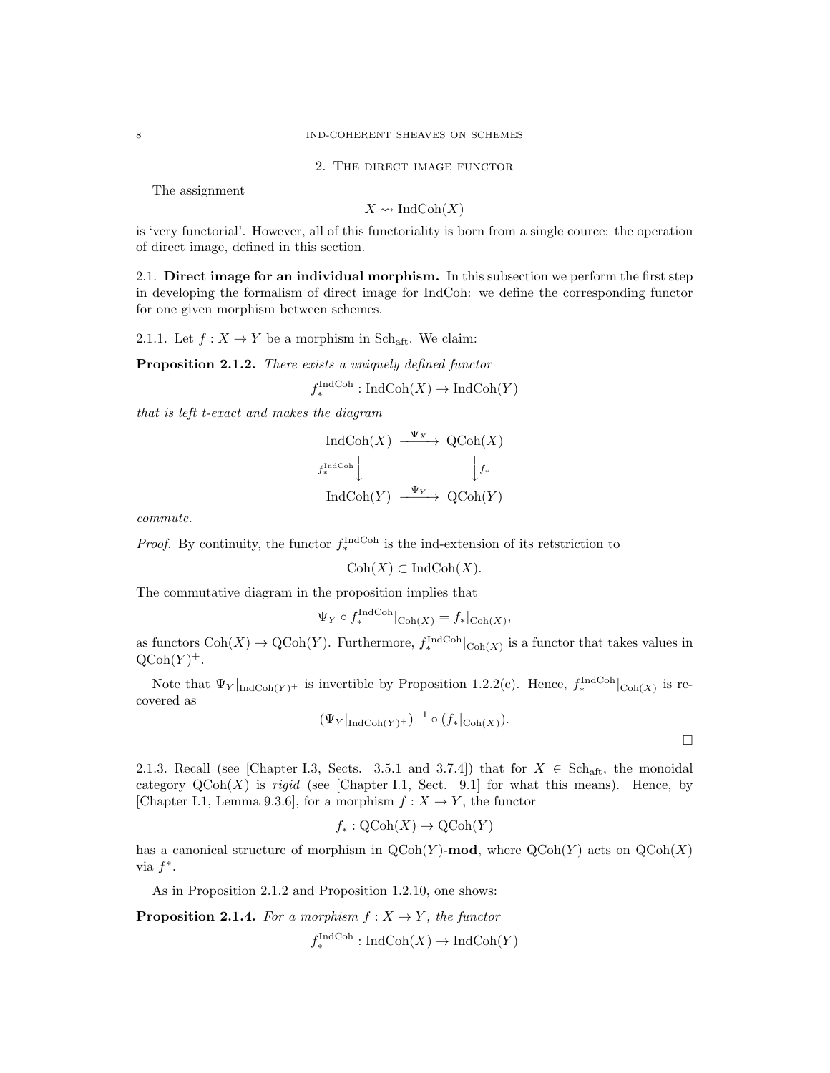8 IND-COHERENT SHEAVES ON SCHEMES

2. The direct image functor

The assignment

$$
X \rightsquigarrow \text{IndCoh}(X)
$$

is 'very functorial'. However, all of this functoriality is born from a single cource: the operation of direct image, defined in this section.

2.1. Direct image for an individual morphism. In this subsection we perform the first step in developing the formalism of direct image for IndCoh: we define the corresponding functor for one given morphism between schemes.

2.1.1. Let  $f: X \to Y$  be a morphism in Sch<sub>aft</sub>. We claim:

Proposition 2.1.2. There exists a uniquely defined functor

 $f_*^{\text{IndCoh}}: \text{IndCoh}(X) \to \text{IndCoh}(Y)$ 

that is left t-exact and makes the diagram

$$
\operatorname{IndCoh}(X) \xrightarrow{\Psi_X} \operatorname{QCoh}(X)
$$
  
 $f_*^{\operatorname{IndCoh}} \downarrow \qquad \qquad \downarrow f_*$   

$$
\operatorname{IndCoh}(Y) \xrightarrow{\Psi_Y} \operatorname{QCoh}(Y)
$$

commute.

*Proof.* By continuity, the functor  $f_{*}^{\text{IndCoh}}$  is the ind-extension of its retstriction to

 $\mathrm{Coh}(X) \subset \mathrm{IndCoh}(X)$ .

The commutative diagram in the proposition implies that

$$
\Psi_Y \circ f_*^{\text{IndCoh}}|_{\text{Coh}(X)} = f_*|_{\text{Coh}(X)},
$$

as functors  $\text{Coh}(X) \to \text{QCoh}(Y)$ . Furthermore,  $f_*^{\text{IndCoh}}|_{\text{Coh}(X)}$  is a functor that takes values in  $\mathrm{QCoh}(Y)^+$ .

Note that  $\Psi_Y|_{\text{IndCoh}(Y)^+}$  is invertible by Proposition 1.2.2(c). Hence,  $f_*^{\text{IndCoh}}|_{\text{Coh}(X)}$  is recovered as

$$
(\Psi_Y|_{\mathrm{IndCoh}(Y)^+})^{-1} \circ (f_*|_{\mathrm{Coh}(X)}).
$$

2.1.3. Recall (see [Chapter I.3, Sects. 3.5.1 and 3.7.4]) that for  $X \in Sch_{\text{aff}}$ , the monoidal category  $QCoh(X)$  is rigid (see [Chapter I.1, Sect. 9.1] for what this means). Hence, by [Chapter I.1, Lemma 9.3.6], for a morphism  $f: X \to Y$ , the functor

$$
f_*: \text{QCoh}(X) \to \text{QCoh}(Y)
$$

has a canonical structure of morphism in  $QCoh(Y)$ -mod, where  $QCoh(Y)$  acts on  $QCoh(X)$ via  $f^*$ .

As in Proposition 2.1.2 and Proposition 1.2.10, one shows:

**Proposition 2.1.4.** For a morphism  $f: X \to Y$ , the functor

 $f_*^{\text{IndCoh}}: \text{IndCoh}(X) \to \text{IndCoh}(Y)$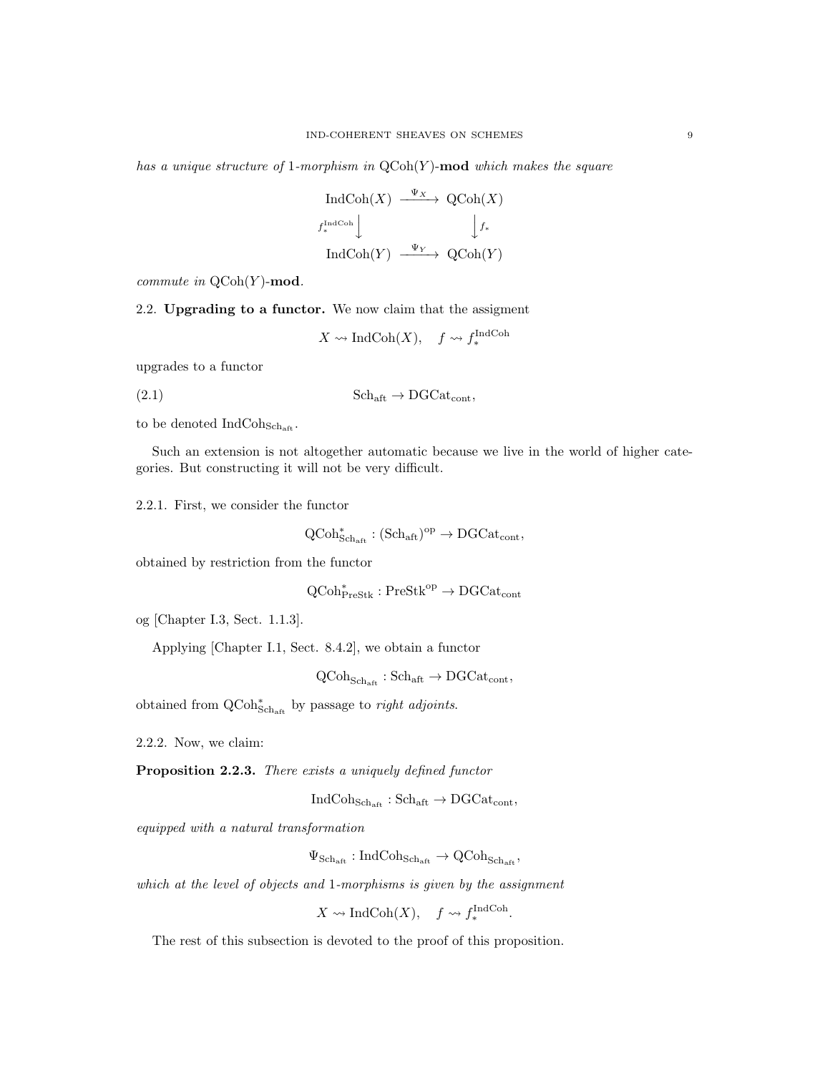has a unique structure of 1-morphism in  $QCoh(Y)$ -mod which makes the square

$$
\operatorname{IndCoh}(X) \xrightarrow{\Psi_X} \operatorname{QCoh}(X)
$$
  
 $f_*^{\operatorname{IndCoh}} \downarrow \qquad \qquad \downarrow f_*$   

$$
\operatorname{IndCoh}(Y) \xrightarrow{\Psi_Y} \operatorname{QCoh}(Y)
$$

commute in  $\mathrm{QCoh}(Y)$ -mod.

2.2. Upgrading to a functor. We now claim that the assigment

$$
X \leadsto \text{IndCoh}(X), \quad f \leadsto f_*^{\text{IndCoh}}
$$

upgrades to a functor

(2.1)  $\text{Sch}_{\text{aff}} \to \text{DGCat}_{\text{cont}},$ 

to be denoted  $IndCoh<sub>Sch<sub>aff</sub></sub>$ .

Such an extension is not altogether automatic because we live in the world of higher categories. But constructing it will not be very difficult.

2.2.1. First, we consider the functor

 $\mathrm{QCoh}^*_{\mathrm{Sch}_{\mathrm{aff}}} : (\mathrm{Sch}_{\mathrm{aff}})^{\mathrm{op}} \to \mathrm{DGCat}_{\mathrm{cont}},$ 

obtained by restriction from the functor

 $\mathrm{QCoh}^*_{\mathrm{PreStk}} : \mathrm{PreStk}^\mathrm{op} \to \mathrm{DGCat}_\mathrm{cont}$ 

og [Chapter I.3, Sect. 1.1.3].

Applying [Chapter I.1, Sect. 8.4.2], we obtain a functor

 $QCoh_{Sch_{\text{aff}}} : Sch_{\text{aff}} \to DGCat_{cont},$ 

obtained from  $\operatorname{QCoh}^*_{\operatorname{Sch}_{\operatorname{aft}}}$  by passage to *right adjoints*.

2.2.2. Now, we claim:

Proposition 2.2.3. There exists a uniquely defined functor

 $IndCoh<sub>Schaft</sub> : Sch<sub>aff</sub> \rightarrow DGCat<sub>cont</sub>$ 

equipped with a natural transformation

 $\Psi_{\text{Sch}_{\text{aff}}} : \text{IndCoh}_{\text{Sch}_{\text{aff}}} \to \text{QCoh}_{\text{Sch}_{\text{aff}}}$ 

which at the level of objects and 1-morphisms is given by the assignment

 $X \rightsquigarrow \text{IndCoh}(X), \quad f \rightsquigarrow f_*^{\text{IndCoh}}.$ 

The rest of this subsection is devoted to the proof of this proposition.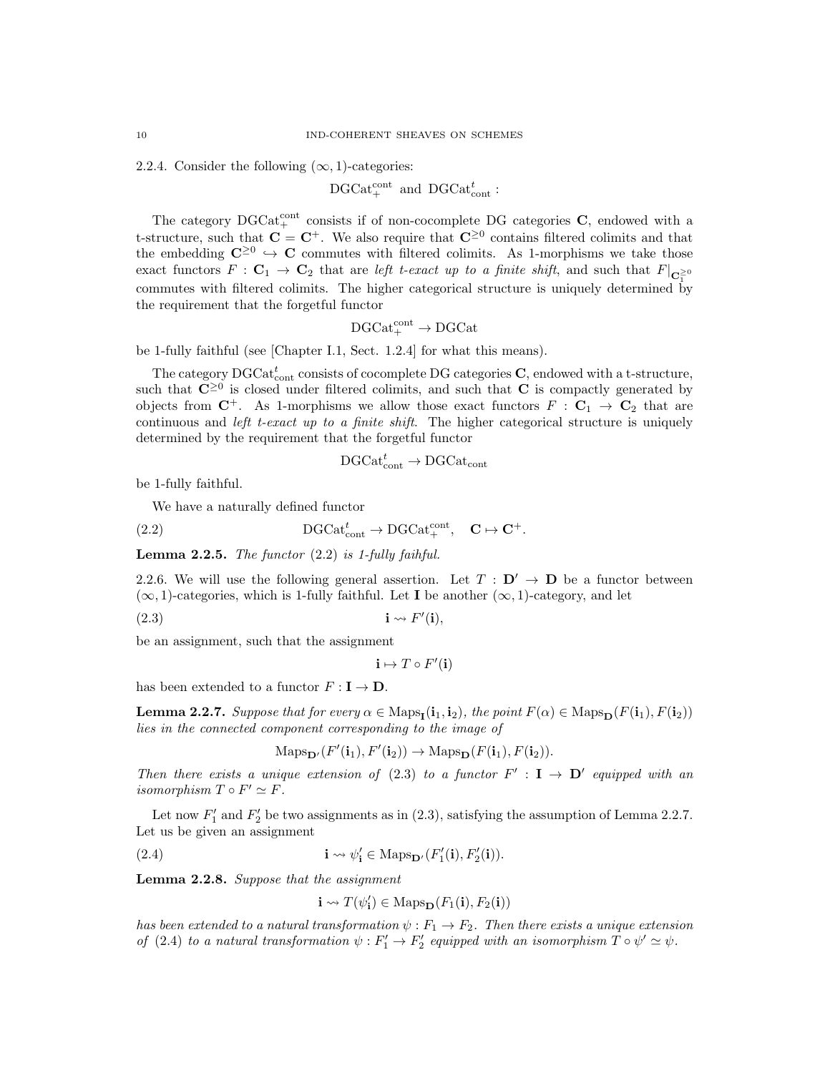2.2.4. Consider the following  $(\infty, 1)$ -categories:

$$
\mathrm{DGCat}_+^{\mathrm{cont}} \ \ \mathrm{and} \ \ \mathrm{DGCat}_{\mathrm{cont}}^t:
$$

The category  $DGCat_{+}^{cont}$  consists if of non-cocomplete DG categories C, endowed with a t-structure, such that  $C = C^+$ . We also require that  $C^{\geq 0}$  contains filtered colimits and that the embedding  $\mathbb{C}^{\geq 0} \hookrightarrow \mathbb{C}$  commutes with filtered colimits. As 1-morphisms we take those exact functors  $F : \mathbf{C}_1 \to \mathbf{C}_2$  that are left t-exact up to a finite shift, and such that  $F|_{\mathbf{C}_1^{\geq 0}}$ commutes with filtered colimits. The higher categorical structure is uniquely determined by the requirement that the forgetful functor

$$
\text{DGCat}^{\text{cont}}_+ \to \text{DGCat}
$$

be 1-fully faithful (see [Chapter I.1, Sect. 1.2.4] for what this means).

The category  $\mathrm{DGCat}_{\mathrm{cont}}^t$  consists of cocomplete DG categories  $\mathbf{C},$  endowed with a t-structure, such that  $\mathbb{C}^{\geq 0}$  is closed under filtered colimits, and such that  $\mathbb{C}$  is compactly generated by objects from  $C^+$ . As 1-morphisms we allow those exact functors  $F : C_1 \to C_2$  that are continuous and *left t-exact up to a finite shift*. The higher categorical structure is uniquely determined by the requirement that the forgetful functor

$$
\text{DGCat}_{\text{cont}}^t \to \text{DGCat}_{\text{cont}}
$$

be 1-fully faithful.

We have a naturally defined functor

(2.2) 
$$
DGCat_{cont}^{t} \to DGCat_{+}^{cont}, \quad \mathbf{C} \mapsto \mathbf{C}^{+}.
$$

**Lemma 2.2.5.** The functor  $(2.2)$  is 1-fully faihful.

2.2.6. We will use the following general assertion. Let  $T : D' \rightarrow D$  be a functor between  $(\infty, 1)$ -categories, which is 1-fully faithful. Let **I** be another  $(\infty, 1)$ -category, and let

(2.3) i F 0 (i),

be an assignment, such that the assignment

$$
\mathbf{i} \mapsto T \circ F'(\mathbf{i})
$$

has been extended to a functor  $F : I \to D$ .

**Lemma 2.2.7.** Suppose that for every  $\alpha \in \text{Maps}_{\mathbf{I}}(\mathbf{i}_1, \mathbf{i}_2)$ , the point  $F(\alpha) \in \text{Maps}_{\mathbf{D}}(F(\mathbf{i}_1), F(\mathbf{i}_2))$ lies in the connected component corresponding to the image of

$$
\mathrm{Maps}_{\mathbf{D}'}(F'(\mathbf{i}_1), F'(\mathbf{i}_2)) \to \mathrm{Maps}_{\mathbf{D}}(F(\mathbf{i}_1), F(\mathbf{i}_2)).
$$

Then there exists a unique extension of (2.3) to a functor  $F' : I \to D'$  equipped with an isomorphism  $T \circ F' \simeq F$ .

Let now  $F_1'$  and  $F_2'$  be two assignments as in (2.3), satisfying the assumption of Lemma 2.2.7. Let us be given an assignment

(2.4) 
$$
\mathbf{i} \leadsto \psi_{\mathbf{i}}' \in \text{Maps}_{\mathbf{D}'}(F_{1}'(\mathbf{i}), F_{2}'(\mathbf{i})).
$$

Lemma 2.2.8. Suppose that the assignment

$$
\mathbf{i} \leadsto T(\psi'_\mathbf{i}) \in \mathrm{Maps}_{\mathbf{D}}(F_1(\mathbf{i}), F_2(\mathbf{i}))
$$

has been extended to a natural transformation  $\psi : F_1 \to F_2$ . Then there exists a unique extension of (2.4) to a natural transformation  $\psi : F'_1 \to F'_2$  equipped with an isomorphism  $T \circ \psi' \simeq \psi$ .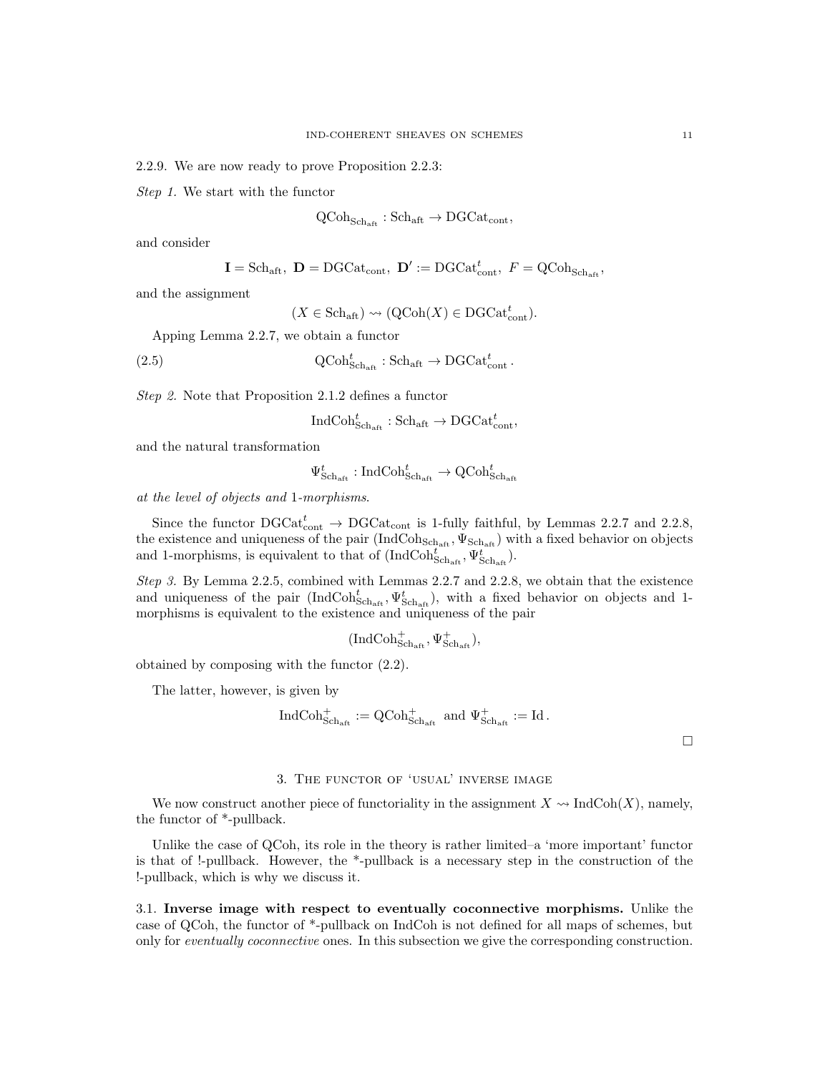2.2.9. We are now ready to prove Proposition 2.2.3:

Step 1. We start with the functor

$$
\operatorname{QCoh}_{\operatorname{Sch}_{\operatorname{aft}}}:\operatorname{Sch}_{\operatorname{aft}}\to\operatorname{DGCat}_{\operatorname{cont}},
$$

and consider

$$
\mathbf{I} = \text{Sch}_{\text{aft}}, \ \mathbf{D} = \text{DGCat}_{\text{cont}}, \ \mathbf{D}' := \text{DGCat}_{\text{cont}}^t, \ F = \text{QCoh}_{\text{Sch}_{\text{aft}}},
$$

and the assignment

 $(X \in \text{Sch}_{\text{aff}}) \rightsquigarrow (\text{QCoh}(X) \in \text{DGCat}_{\text{cont}}^t).$ 

Apping Lemma 2.2.7, we obtain a functor

(2.5) 
$$
\mathrm{QCoh}_{\mathrm{Sch}_{\mathrm{aff}}}^t : \mathrm{Sch}_{\mathrm{aff}} \to \mathrm{DGCat}_{\mathrm{cont}}^t.
$$

Step 2. Note that Proposition 2.1.2 defines a functor

$$
\operatorname{IndCoh}^t_{\operatorname{Sch}_{\operatorname{aft}}}: \operatorname{Sch}_{\operatorname{aft}} \to \operatorname{DGCat}^t_{\operatorname{cont}},
$$

and the natural transformation

$$
\Psi_{\text{Sch}_\text{aft}}^t:\text{IndCoh}_{\text{Sch}_\text{aft}}^t\rightarrow\text{QCoh}_{\text{Sch}_\text{aft}}^t
$$

at the level of objects and 1-morphisms.

Since the functor  $\text{DGCat}_{\text{cont}}^t \rightarrow \text{DGCat}_{\text{cont}}$  is 1-fully faithful, by Lemmas 2.2.7 and 2.2.8, the existence and uniqueness of the pair  $(IndCoh<sub>Schaft</sub>, \Psi<sub>Schaft</sub>)$  with a fixed behavior on objects and 1-morphisms, is equivalent to that of  $(\text{IndCoh}_{\text{Sch}_{\text{aft}}}^{t^{\text{max}}}, \Psi_{\text{Sch}_{\text{aft}}}^{t^{\text{max}}}).$ 

Step 3. By Lemma 2.2.5, combined with Lemmas 2.2.7 and 2.2.8, we obtain that the existence and uniqueness of the pair  $(IndCoh<sub>Schaft</sub><sup>t</sup>, \Psi<sub>Schaft</sub><sup>t</sup>)$ , with a fixed behavior on objects and 1morphisms is equivalent to the existence and uniqueness of the pair

$$
(\mathrm{IndCoh}^+_{\mathrm{Sch}_\mathrm{aft}}, \Psi^+_{\mathrm{Sch}_\mathrm{aft}}),
$$

obtained by composing with the functor (2.2).

The latter, however, is given by

$$
\text{IndCoh}_{\text{Sch}_{\text{aff}}}^+ := \text{QCoh}_{\text{Sch}_{\text{aff}}}^+ \text{ and } \Psi_{\text{Sch}_{\text{aff}}}^+ := \text{Id}.
$$

 $\Box$ 

#### 3. The functor of 'usual' inverse image

We now construct another piece of functoriality in the assignment  $X \sim \text{IndCoh}(X)$ , namely, the functor of \*-pullback.

Unlike the case of QCoh, its role in the theory is rather limited–a 'more important' functor is that of !-pullback. However, the \*-pullback is a necessary step in the construction of the !-pullback, which is why we discuss it.

3.1. Inverse image with respect to eventually coconnective morphisms. Unlike the case of QCoh, the functor of \*-pullback on IndCoh is not defined for all maps of schemes, but only for eventually coconnective ones. In this subsection we give the corresponding construction.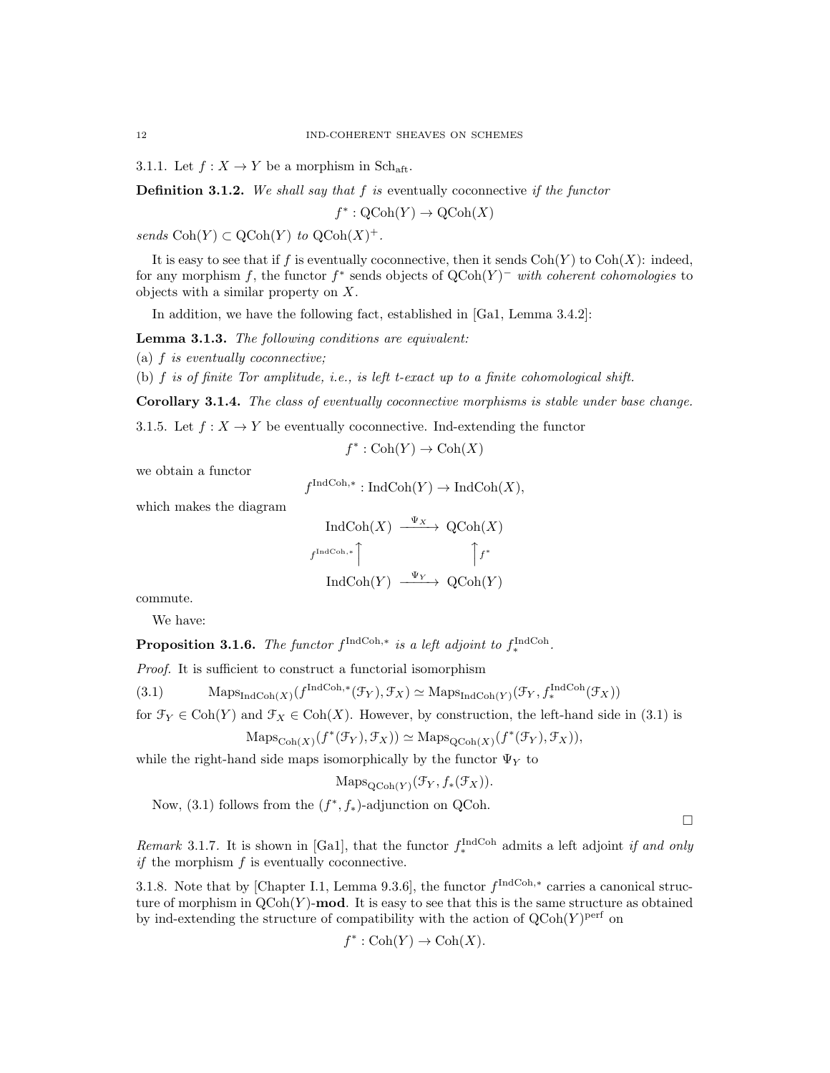3.1.1. Let  $f: X \to Y$  be a morphism in Sch<sub>aft</sub>.

**Definition 3.1.2.** We shall say that  $f$  is eventually coconnective if the functor

 $f^* : \mathrm{QCoh}(Y) \to \mathrm{QCoh}(X)$ 

sends  $\text{Coh}(Y) \subset \text{QCoh}(Y)$  to  $\text{QCoh}(X)^+$ .

It is easy to see that if f is eventually coconnective, then it sends  $\text{Coh}(Y)$  to  $\text{Coh}(X)$ : indeed, for any morphism f, the functor  $f^*$  sends objects of  $QCoh(Y)^-$  with coherent cohomologies to objects with a similar property on X.

In addition, we have the following fact, established in [Ga1, Lemma 3.4.2]:

Lemma 3.1.3. The following conditions are equivalent:

(a)  $f$  is eventually coconnective;

(b)  $f$  is of finite Tor amplitude, i.e., is left t-exact up to a finite cohomological shift.

Corollary 3.1.4. The class of eventually coconnective morphisms is stable under base change.

3.1.5. Let  $f: X \to Y$  be eventually coconnective. Ind-extending the functor

 $f^* : \text{Coh}(Y) \to \text{Coh}(X)$ 

we obtain a functor

$$
f^{\text{IndCoh},*}: \text{IndCoh}(Y) \to \text{IndCoh}(X),
$$

which makes the diagram

$$
\text{IndCoh}(X) \xrightarrow{\Psi_X} \text{QCoh}(X)
$$
  
 $f^{\text{IndCoh},*}$   

$$
\uparrow f^*
$$
  

$$
\text{IndCoh}(Y) \xrightarrow{\Psi_Y} \text{QCoh}(Y)
$$

commute.

We have:

**Proposition 3.1.6.** The functor  $f^{\text{IndCoh},*}$  is a left adjoint to  $f^{\text{IndCoh}}_*$ .

Proof. It is sufficient to construct a functorial isomorphism

(3.1) Maps<sub>IndCoh(X)</sub>  $(f^{\text{IndCoh},*}(\mathcal{F}_Y), \mathcal{F}_X) \simeq \text{Maps}_{\text{IndCoh}(Y)}(\mathcal{F}_Y, f^{\text{IndCoh}}_*(\mathcal{F}_X))$ 

for  $\mathcal{F}_Y \in \text{Coh}(Y)$  and  $\mathcal{F}_X \in \text{Coh}(X)$ . However, by construction, the left-hand side in (3.1) is

$$
\mathrm{Maps}_{\mathrm{Coh}(X)}(f^*(\mathcal{F}_Y), \mathcal{F}_X)) \simeq \mathrm{Maps}_{\mathrm{QCoh}(X)}(f^*(\mathcal{F}_Y), \mathcal{F}_X)),
$$

while the right-hand side maps isomorphically by the functor  $\Psi_Y$  to

 $\mathrm{Maps}_{\mathrm{QCoh}(Y)}(\mathcal{F}_Y, f_*(\mathcal{F}_X)).$ 

Now,  $(3.1)$  follows from the  $(f^*, f_*)$ -adjunction on QCoh.

 $\Box$ 

*Remark* 3.1.7. It is shown in [Ga1], that the functor  $f_*^{\text{IndCoh}}$  admits a left adjoint *if and only if* the morphism  $f$  is eventually coconnective.

3.1.8. Note that by [Chapter I.1, Lemma 9.3.6], the functor  $f^{\text{IndCoh},*}$  carries a canonical structure of morphism in  $QCoh(Y)$ -mod. It is easy to see that this is the same structure as obtained by ind-extending the structure of compatibility with the action of  $Q\text{Coh}(Y)$ <sup>perf</sup> on

$$
f^* : \mathrm{Coh}(Y) \to \mathrm{Coh}(X).
$$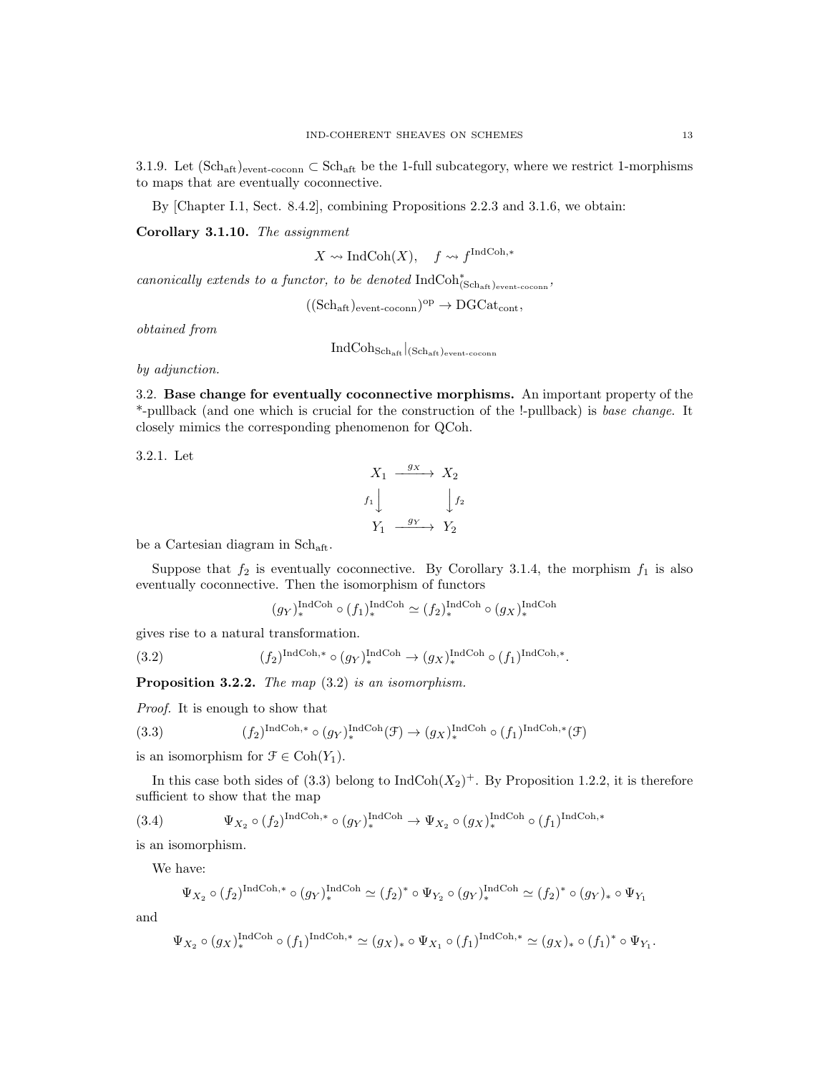3.1.9. Let  $(\text{Sch}_{\text{aff}})_{\text{event-con}} \subset \text{Sch}_{\text{aff}}$  be the 1-full subcategory, where we restrict 1-morphisms to maps that are eventually coconnective.

By [Chapter I.1, Sect. 8.4.2], combining Propositions 2.2.3 and 3.1.6, we obtain:

Corollary 3.1.10. The assignment

 $X \rightsquigarrow \text{IndCoh}(X)$ ,  $f \rightsquigarrow f^{\text{IndCoh},*}$ 

canonically extends to a functor, to be denoted  $\mathrm{IndCoh}^*_{(\mathrm{Sch}_\mathrm{aff})_\mathrm{event-coconn}}$ ,

 $((Sch_{\t{aft}})_{\text{event-coconn}})^{\text{op}} \rightarrow \text{DGCat}_{\text{cont}},$ 

obtained from

 $IndCoh<sub>Sch<sub>aff</sub></sub>$  (Sch<sub>aft</sub>)<sub>event-coconn</sub>

by adjunction.

3.2. Base change for eventually coconnective morphisms. An important property of the \*-pullback (and one which is crucial for the construction of the !-pullback) is base change. It closely mimics the corresponding phenomenon for QCoh.

3.2.1. Let

$$
X_1 \xrightarrow{g_X} X_2
$$
  

$$
f_1 \downarrow \qquad \qquad \downarrow f_2
$$
  

$$
Y_1 \xrightarrow{g_Y} Y_2
$$

be a Cartesian diagram in Sch<sub>aft</sub>.

Suppose that  $f_2$  is eventually coconnective. By Corollary 3.1.4, the morphism  $f_1$  is also eventually coconnective. Then the isomorphism of functors

$$
(g_Y)_*^{\text{IndCoh}} \circ (f_1)_*^{\text{IndCoh}} \simeq (f_2)_*^{\text{IndCoh}} \circ (g_X)_*^{\text{IndCoh}}
$$

gives rise to a natural transformation.

(3.2) 
$$
(f_2)^{\text{IndCoh},*} \circ (g_Y)^{\text{IndCoh}}_* \to (g_X)^{\text{IndCoh}}_* \circ (f_1)^{\text{IndCoh},*}.
$$

Proposition 3.2.2. The map  $(3.2)$  is an isomorphism.

Proof. It is enough to show that

(3.3) 
$$
(f_2)^{\text{IndCoh},*} \circ (g_Y)^{\text{IndCoh}}_*(\mathcal{F}) \to (g_X)^{\text{IndCoh}}_*(f_1)^{\text{IndCoh},*}(\mathcal{F})
$$

is an isomorphism for  $\mathcal{F} \in \text{Coh}(Y_1)$ .

In this case both sides of (3.3) belong to  $IndCoh(X_2)^+$ . By Proposition 1.2.2, it is therefore sufficient to show that the map

(3.4) 
$$
\Psi_{X_2} \circ (f_2)^{\text{IndCoh},*} \circ (g_Y)^{\text{IndCoh}}_* \to \Psi_{X_2} \circ (g_X)^{\text{IndCoh}}_* \circ (f_1)^{\text{IndCoh},*}
$$

is an isomorphism.

We have:

$$
\Psi_{X_2} \circ (f_2)^{\text{IndCoh},*} \circ (g_Y)_*^{\text{IndCoh}} \simeq (f_2)^* \circ \Psi_{Y_2} \circ (g_Y)_*^{\text{IndCoh}} \simeq (f_2)^* \circ (g_Y)_* \circ \Psi_{Y_1}
$$

and

$$
\Psi_{X_2}\circ (g_X)_*^{\operatorname{IndCoh}}\circ (f_1)^{\operatorname{IndCoh},*}\simeq (g_X)_*\circ \Psi_{X_1}\circ (f_1)^{\operatorname{IndCoh},*}\simeq (g_X)_*\circ (f_1)^*\circ \Psi_{Y_1}.
$$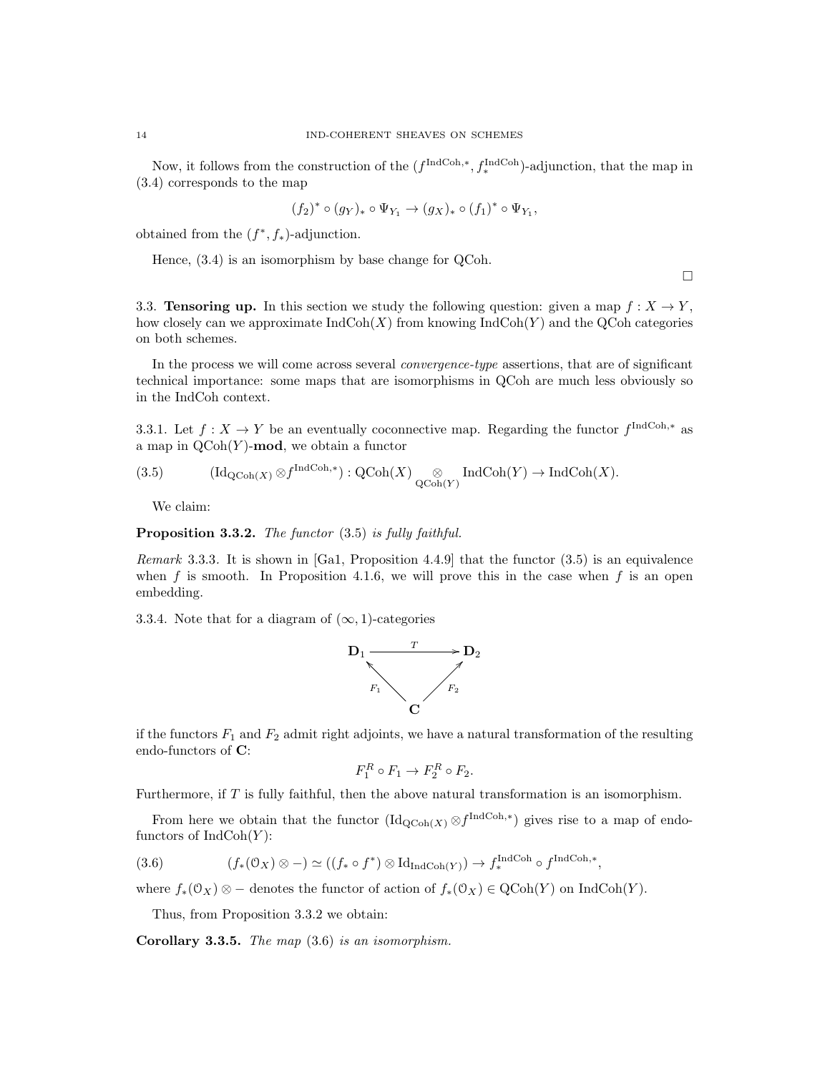Now, it follows from the construction of the  $(f^{\text{IndCoh},*}, f^{\text{IndCoh}}_*)$ -adjunction, that the map in (3.4) corresponds to the map

$$
(f_2)^*\circ (g_Y)_*\circ \Psi_{Y_1}\rightarrow (g_X)_*\circ (f_1)^*\circ \Psi_{Y_1},
$$

obtained from the  $(f^*, f_*)$ -adjunction.

Hence, (3.4) is an isomorphism by base change for QCoh.

 $\Box$ 

3.3. Tensoring up. In this section we study the following question: given a map  $f: X \to Y$ , how closely can we approximate  $\text{IndCoh}(X)$  from knowing  $\text{IndCoh}(Y)$  and the QCoh categories on both schemes.

In the process we will come across several convergence-type assertions, that are of significant technical importance: some maps that are isomorphisms in QCoh are much less obviously so in the IndCoh context.

3.3.1. Let  $f: X \to Y$  be an eventually coconnective map. Regarding the functor  $f^{\text{IndCoh},*}$  as a map in  $\mathrm{QCoh}(Y)$ -mod, we obtain a functor

(3.5) 
$$
(\mathrm{Id}_{\mathrm{QCoh}(X)} \otimes f^{\mathrm{IndCoh},*}) : \mathrm{QCoh}(X) \underset{\mathrm{QCoh}(Y)}{\otimes} \mathrm{IndCoh}(Y) \to \mathrm{IndCoh}(X).
$$

We claim:

Proposition 3.3.2. The functor  $(3.5)$  is fully faithful.

Remark 3.3.3. It is shown in [Ga1, Proposition 4.4.9] that the functor (3.5) is an equivalence when f is smooth. In Proposition 4.1.6, we will prove this in the case when f is an open embedding.

3.3.4. Note that for a diagram of  $(\infty, 1)$ -categories



if the functors  $F_1$  and  $F_2$  admit right adjoints, we have a natural transformation of the resulting endo-functors of C:

$$
F_1^R \circ F_1 \to F_2^R \circ F_2.
$$

Furthermore, if T is fully faithful, then the above natural transformation is an isomorphism.

From here we obtain that the functor  $(\mathrm{Id}_{\mathrm{QCoh}(X)} \otimes f^{\mathrm{IndCoh},*})$  gives rise to a map of endofunctors of  $IndCoh(Y)$ :

(3.6) 
$$
(f_*(0_X) \otimes -) \simeq ((f_* \circ f^*) \otimes \mathrm{Id}_{\mathrm{IndCoh}(Y)}) \to f_*^{\mathrm{IndCoh}} \circ f^{\mathrm{IndCoh},*},
$$

where  $f_*(0_X) \otimes -$  denotes the functor of action of  $f_*(0_X) \in \text{QCoh}(Y)$  on IndCoh(Y).

Thus, from Proposition 3.3.2 we obtain:

Corollary 3.3.5. The map (3.6) is an isomorphism.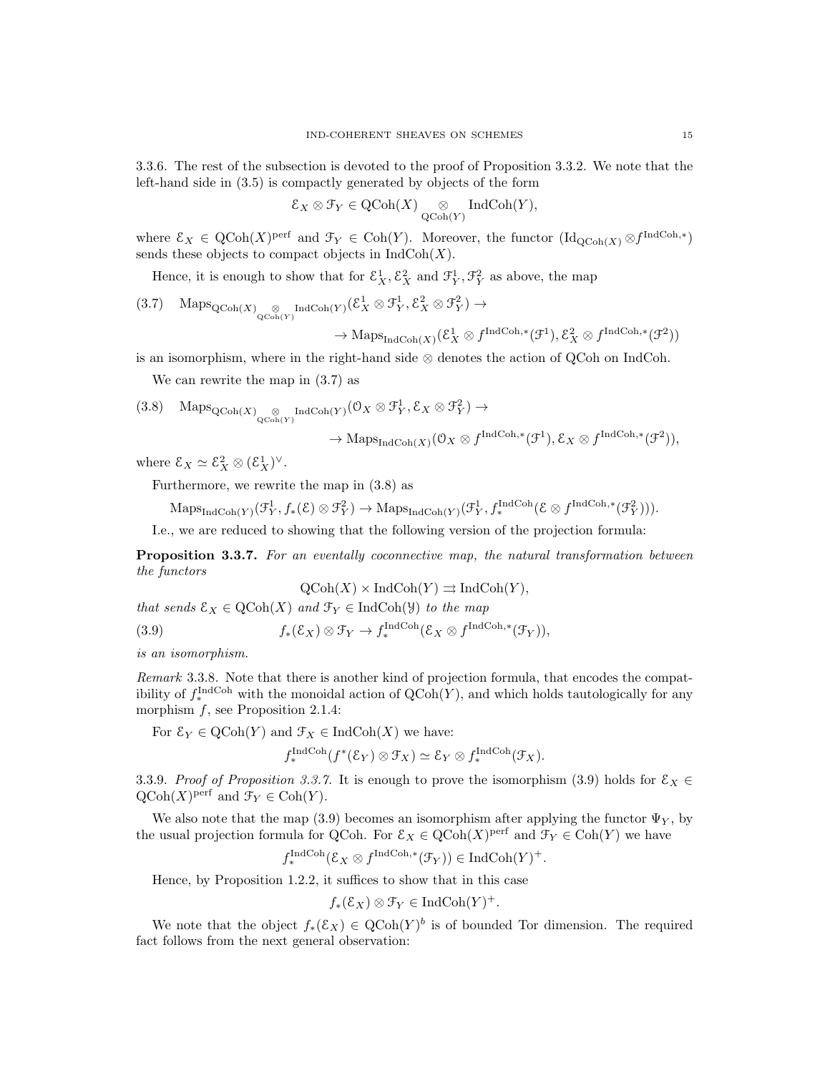3.3.6. The rest of the subsection is devoted to the proof of Proposition 3.3.2. We note that the left-hand side in (3.5) is compactly generated by objects of the form

$$
\mathcal{E}_X \otimes \mathcal{F}_Y \in \mathrm{QCoh}(X) \underset{\mathrm{QCoh}(Y)}{\otimes} \mathrm{IndCoh}(Y),
$$

where  $\mathcal{E}_X \in \text{QCoh}(X)$ <sup>perf</sup> and  $\mathcal{F}_Y \in \text{Coh}(Y)$ . Moreover, the functor  $(\text{Id}_{\text{QCoh}(X)} \otimes f^{\text{IndCoh},*})$ sends these objects to compact objects in  $\text{IndCoh}(X)$ .

Hence, it is enough to show that for  $\mathcal{E}_X^1$ ,  $\mathcal{E}_X^2$  and  $\mathcal{F}_Y^1$ ,  $\mathcal{F}_Y^2$  as above, the map

(3.7) Maps $_{QCoh(X)}^{\qquad \qquad \otimes \text{Ind}^{Coh}(Y)}(\mathcal{E}^1_X \otimes \mathcal{F}^1_Y, \mathcal{E}^2_X \otimes \mathcal{F}^2_Y) \rightarrow$ 

$$
\to \mathrm{Maps}_{\mathrm{IndCoh}(X)}(\mathcal{E}_X^1 \otimes f^{\mathrm{IndCoh},*}(\mathcal{F}^1), \mathcal{E}_X^2 \otimes f^{\mathrm{IndCoh},*}(\mathcal{F}^2))
$$

is an isomorphism, where in the right-hand side ⊗ denotes the action of QCoh on IndCoh.

We can rewrite the map in (3.7) as

$$
(3.8) \quad \operatorname{Maps}_{\operatorname{QCoh}(X)}_{\operatorname{QCoh}(Y)} \operatorname{IndCoh}(Y) \left(\mathcal{O}_X \otimes \mathcal{F}^1_Y, \mathcal{E}_X \otimes \mathcal{F}^2_Y\right) \to
$$

$$
\to \mathrm{Maps}_{\mathrm{IndCoh}(X)}(\mathbb{O}_X \otimes f^{\mathrm{IndCoh},*}(\mathcal{F}^1), \mathcal{E}_X \otimes f^{\mathrm{IndCoh},*}(\mathcal{F}^2)),
$$

where  $\mathcal{E}_X \simeq \mathcal{E}_X^2 \otimes (\mathcal{E}_X^1)^{\vee}$ .

Furthermore, we rewrite the map in (3.8) as

$$
\mathrm{Maps}_{\mathrm{IndCoh}(Y)}(\mathcal{F}_Y^1, f_*(\mathcal{E}) \otimes \mathcal{F}_Y^2) \to \mathrm{Maps}_{\mathrm{IndCoh}(Y)}(\mathcal{F}_Y^1, f_*^{\mathrm{IndCoh}}(\mathcal{E} \otimes f^{\mathrm{IndCoh},*}(\mathcal{F}_Y^2))).
$$

I.e., we are reduced to showing that the following version of the projection formula:

Proposition 3.3.7. For an eventally coconnective map, the natural transformation between the functors

$$
\mathrm{QCoh}(X) \times \mathrm{IndCoh}(Y) \rightrightarrows \mathrm{IndCoh}(Y),
$$

that sends  $\mathcal{E}_X \in \mathrm{QCoh}(X)$  and  $\mathcal{F}_Y \in \mathrm{IndCoh}(\mathcal{Y})$  to the map

(3.9) 
$$
f_*(\mathcal{E}_X) \otimes \mathcal{F}_Y \to f_*^{\text{IndCoh}}(\mathcal{E}_X \otimes f^{\text{IndCoh},*}(\mathcal{F}_Y)),
$$

is an isomorphism.

Remark 3.3.8. Note that there is another kind of projection formula, that encodes the compatibility of  $f_*^{\text{IndCoh}}$  with the monoidal action of  $\text{QCoh}(Y)$ , and which holds tautologically for any morphism  $f$ , see Proposition 2.1.4:

For  $\mathcal{E}_Y \in \text{QCoh}(Y)$  and  $\mathcal{F}_X \in \text{IndCoh}(X)$  we have:

$$
f_*^{\operatorname{IndCoh}}(f^*(\mathcal{E}_Y) \otimes \mathcal{F}_X) \simeq \mathcal{E}_Y \otimes f_*^{\operatorname{IndCoh}}(\mathcal{F}_X).
$$

3.3.9. Proof of Proposition 3.3.7. It is enough to prove the isomorphism (3.9) holds for  $\mathcal{E}_X \in$  $\mathrm{QCoh}(X)$ <sup>perf</sup> and  $\mathcal{F}_Y \in \mathrm{Coh}(Y)$ .

We also note that the map (3.9) becomes an isomorphism after applying the functor  $\Psi_Y$ , by the usual projection formula for QCoh. For  $\mathcal{E}_X \in \text{QCoh}(X)$ <sup>perf</sup> and  $\mathcal{F}_Y \in \text{Coh}(Y)$  we have

$$
f_*^{\text{IndCoh}}(\mathcal{E}_X \otimes f^{\text{IndCoh},*}(\mathcal{F}_Y)) \in \text{IndCoh}(Y)^+.
$$

Hence, by Proposition 1.2.2, it suffices to show that in this case

$$
f_*(\mathcal{E}_X) \otimes \mathcal{F}_Y \in \mathrm{IndCoh}(Y)^+.
$$

We note that the object  $f_*(\mathcal{E}_X) \in \mathrm{QCoh}(Y)^b$  is of bounded Tor dimension. The required fact follows from the next general observation: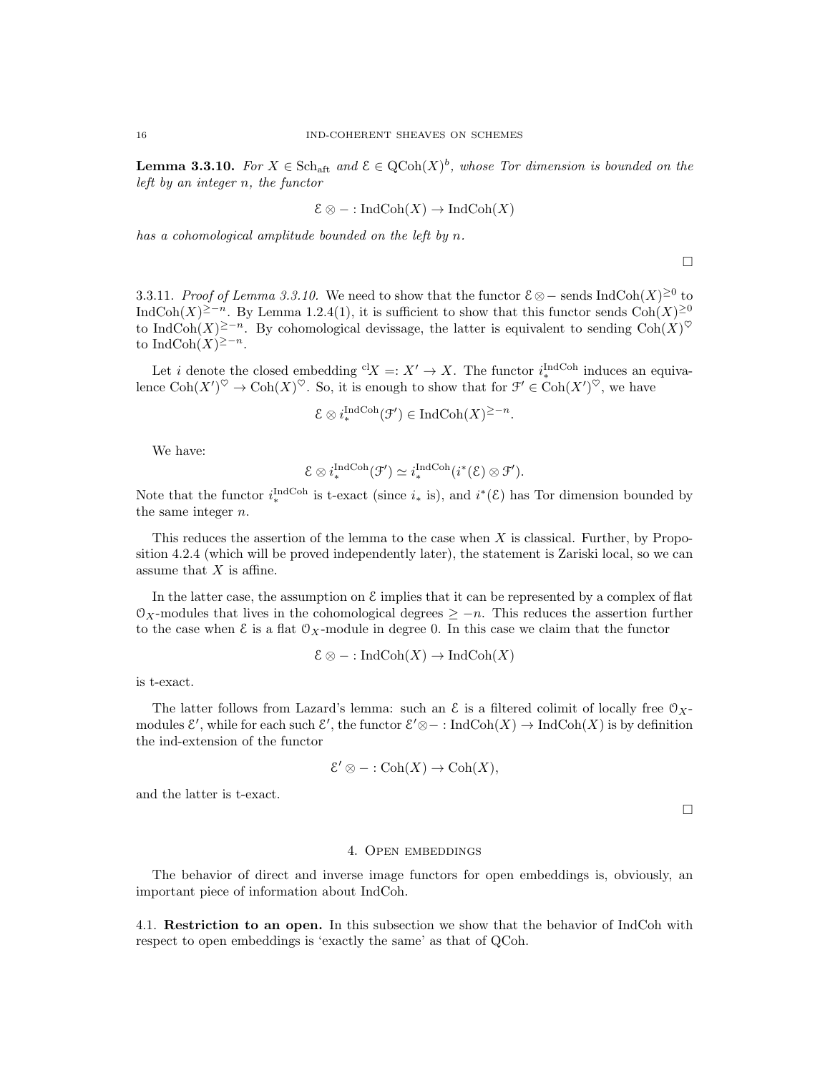**Lemma 3.3.10.** For  $X \in Sch_{\text{aff}}$  and  $\mathcal{E} \in QCoh(X)^{b}$ , whose Tor dimension is bounded on the left by an integer n, the functor

$$
\mathcal{E} \otimes - : \text{IndCoh}(X) \to \text{IndCoh}(X)
$$

has a cohomological amplitude bounded on the left by n.

 $\Box$ 

3.3.11. Proof of Lemma 3.3.10. We need to show that the functor  $\mathcal{E} \otimes -$  sends IndCoh $(X) \geq 0$  to IndCoh(X)<sup>2-n</sup>. By Lemma 1.2.4(1), it is sufficient to show that this functor sends Coh(X)<sup>20</sup> to IndCoh $(X)^{\geq -n}$ . By cohomological devissage, the latter is equivalent to sending Coh $(X)^\heartsuit$ to IndCoh $(X)^{\geq -n}$ .

Let *i* denote the closed embedding <sup>cl</sup> $X =: X' \to X$ . The functor  $i_{*}^{\text{IndCoh}}$  induces an equivalence  $\mathrm{Coh}(X')^{\heartsuit} \to \mathrm{Coh}(X)^{\heartsuit}$ . So, it is enough to show that for  $\mathcal{F}' \in \mathrm{Coh}(X')^{\heartsuit}$ , we have

$$
\mathcal{E} \otimes i^{\text{IndCoh}}_*(\mathcal{F}') \in \text{IndCoh}(X)^{\geq -n}.
$$

We have:

$$
\mathcal{E} \otimes i^{\text{IndCoh}}_{*}(\mathcal{F}') \simeq i^{\text{IndCoh}}_{*}(i^{*}(\mathcal{E}) \otimes \mathcal{F}').
$$

Note that the functor  $i^{\text{IndCoh}}_*$  is t-exact (since  $i_*$  is), and  $i^*(\mathcal{E})$  has Tor dimension bounded by the same integer n.

This reduces the assertion of the lemma to the case when X is classical. Further, by Proposition 4.2.4 (which will be proved independently later), the statement is Zariski local, so we can assume that  $X$  is affine.

In the latter case, the assumption on  $\mathcal E$  implies that it can be represented by a complex of flat  $\mathcal{O}_X$ -modules that lives in the cohomological degrees  $\geq -n$ . This reduces the assertion further to the case when  $\mathcal E$  is a flat  $\mathcal O_X$ -module in degree 0. In this case we claim that the functor

$$
\mathcal{E} \otimes - : \operatorname{IndCoh}(X) \to \operatorname{IndCoh}(X)
$$

is t-exact.

The latter follows from Lazard's lemma: such an  $\mathcal E$  is a filtered colimit of locally free  $\mathcal O_X$ modules  $\mathcal{E}'$ , while for each such  $\mathcal{E}'$ , the functor  $\mathcal{E}' \otimes - : \text{IndCoh}(X) \to \text{IndCoh}(X)$  is by definition the ind-extension of the functor

$$
\mathcal{E}' \otimes - : \mathrm{Coh}(X) \to \mathrm{Coh}(X),
$$

and the latter is t-exact.

 $\Box$ 

### 4. Open embeddings

The behavior of direct and inverse image functors for open embeddings is, obviously, an important piece of information about IndCoh.

4.1. Restriction to an open. In this subsection we show that the behavior of IndCoh with respect to open embeddings is 'exactly the same' as that of QCoh.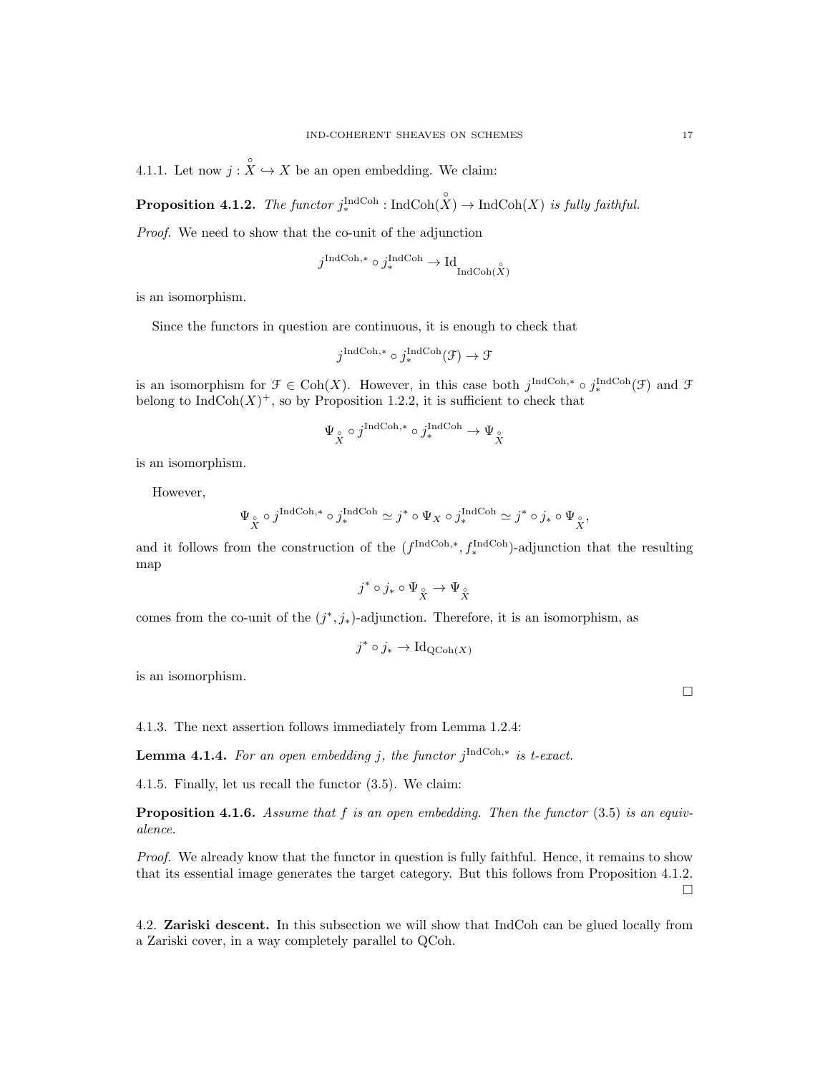4.1.1. Let now  $j : \overset{\circ}{X} \hookrightarrow X$  be an open embedding. We claim:

**Proposition 4.1.2.** The functor  $j^{\text{IndCoh}}_{*}$ : IndCoh $(X)$   $\rightarrow$  IndCoh $(X)$  is fully faithful.

Proof. We need to show that the co-unit of the adjunction

$$
j^{\text{IndCoh},*} \circ j^{\text{IndCoh}}_{*} \to \text{Id}_{\text{IndCoh}(\overset{\circ}{X})}
$$

is an isomorphism.

Since the functors in question are continuous, it is enough to check that

$$
j^{\text{IndCoh},*} \circ j^{\text{IndCoh}}_*(\mathcal{F}) \to \mathcal{F}
$$

is an isomorphism for  $\mathcal{F} \in \text{Coh}(X)$ . However, in this case both  $j^{\text{IndCoh},*} \circ j^{\text{IndCoh}}_*(\mathcal{F})$  and  $\mathcal{F}$ belong to  $\text{IndCoh}(X)^+$ , so by Proposition 1.2.2, it is sufficient to check that

$$
\Psi_{\overset{\circ}{X}}\circ j^{\mathrm{IndCoh},*}\circ j^{\mathrm{IndCoh}}_*\to \Psi_{\overset{\circ}{X}}
$$

is an isomorphism.

However,

$$
\Psi_{\overset{\circ}{X}} \circ j^{\text{IndCoh},*} \circ j^{\text{IndCoh}}_{*} \simeq j^{*} \circ \Psi_{X} \circ j^{\text{IndCoh}}_{*} \simeq j^{*} \circ j_{*} \circ \Psi_{\overset{\circ}{X}},
$$

and it follows from the construction of the  $(f^{\text{IndCoh},*}, f^{\text{IndCoh}}_*)$ -adjunction that the resulting map

$$
j^* \circ j_* \circ \Psi_{\overset{\circ}{X}} \to \Psi_{\overset{\circ}{X}}
$$

comes from the co-unit of the  $(j^*, j_*)$ -adjunction. Therefore, it is an isomorphism, as

$$
j^* \circ j_* \to \mathrm{Id}_{\mathrm{QCoh}(X)}
$$

is an isomorphism.

4.1.3. The next assertion follows immediately from Lemma 1.2.4:

**Lemma 4.1.4.** For an open embedding j, the functor  $j^{\text{IndCoh},*}$  is t-exact.

4.1.5. Finally, let us recall the functor (3.5). We claim:

**Proposition 4.1.6.** Assume that f is an open embedding. Then the functor  $(3.5)$  is an equivalence.

Proof. We already know that the functor in question is fully faithful. Hence, it remains to show that its essential image generates the target category. But this follows from Proposition 4.1.2.  $\Box$ 

4.2. Zariski descent. In this subsection we will show that IndCoh can be glued locally from a Zariski cover, in a way completely parallel to QCoh.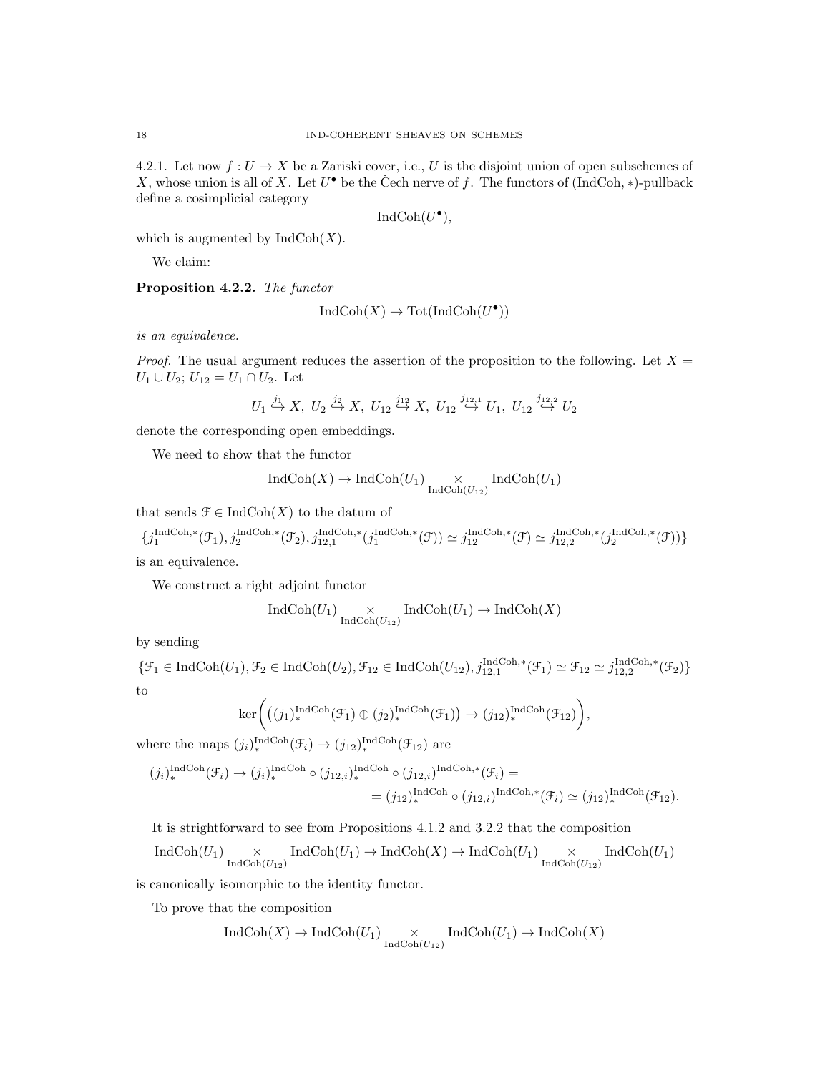4.2.1. Let now  $f: U \to X$  be a Zariski cover, i.e., U is the disjoint union of open subschemes of X, whose union is all of X. Let  $U^{\bullet}$  be the Čech nerve of f. The functors of (IndCoh, \*)-pullback define a cosimplicial category

$$
IndCoh(U^{\bullet}),
$$

which is augmented by  $\text{IndCoh}(X)$ .

We claim:

Proposition 4.2.2. The functor

$$
IndCoh(X) \to Tot(IndCoh(U^{\bullet}))
$$

is an equivalence.

*Proof.* The usual argument reduces the assertion of the proposition to the following. Let  $X =$  $U_1 \cup U_2$ ;  $U_{12} = U_1 \cap U_2$ . Let

$$
U_1\overset{j_1}{\hookrightarrow}X,\;U_2\overset{j_2}{\hookrightarrow}X,\;U_{12}\overset{j_{12}}{\hookrightarrow}X,\;U_{12}\overset{j_{12,1}}{\hookrightarrow}U_1,\;U_{12}\overset{j_{12,2}}{\hookrightarrow}U_2
$$

denote the corresponding open embeddings.

We need to show that the functor

$$
\operatorname{IndCoh}(X) \to \operatorname{IndCoh}(U_1) \underset{\operatorname{IndCoh}(U_{12})}{\times} \operatorname{IndCoh}(U_1)
$$

that sends  $\mathcal{F} \in \text{IndCoh}(X)$  to the datum of

$$
\{j_1^{\operatorname{IndCoh},*}(\mathcal{F}_1),j_2^{\operatorname{IndCoh},*}(\mathcal{F}_2),j_{12,1}^{\operatorname{IndCoh},*}(j_1^{\operatorname{IndCoh},*}(\mathcal{F}))\simeq j_{12}^{\operatorname{IndCoh},*}(\mathcal{F})\simeq j_{12,2}^{\operatorname{IndCoh},*}(j_2^{\operatorname{IndCoh},*}(\mathcal{F}))\}
$$
 is an equivalence.

is an equivalence.

We construct a right adjoint functor

$$
\operatorname{IndCoh}(U_1) \underset{\operatorname{IndCoh}(U_{12})}{\times} \operatorname{IndCoh}(U_1) \to \operatorname{IndCoh}(X)
$$

by sending

 $\{\mathcal{F}_1 \in \text{IndCoh}(U_1), \mathcal{F}_2 \in \text{IndCoh}(U_2), \mathcal{F}_{12} \in \text{IndCoh}(U_{12}), j_{12,1}^{\text{IndCoh},*}(\mathcal{F}_1) \simeq \mathcal{F}_{12} \simeq j_{12,2}^{\text{IndCoh},*}(\mathcal{F}_2)\}\$ to

$$
\ker\bigg(\big((j_1)^{\operatorname{IndCoh}}_*(\mathfrak{F}_1)\oplus (j_2)^{\operatorname{IndCoh}}_*(\mathfrak{F}_1)\big)\to (j_{12})_*^{\operatorname{IndCoh}}(\mathfrak{F}_{12})\bigg),
$$

where the maps  $(j_i)_{*}^{\text{IndCoh}}(\mathcal{F}_i) \to (j_{12})_{*}^{\text{IndCoh}}(\mathcal{F}_{12})$  are

$$
(j_i)_*^{\text{IndCoh}}(\mathcal{F}_i) \to (j_i)_*^{\text{IndCoh}} \circ (j_{12,i})_*^{\text{IndCoh}} \circ (j_{12,i})^{\text{IndCoh},*}(\mathcal{F}_i) =
$$
  

$$
= (j_{12})_*^{\text{IndCoh}} \circ (j_{12,i})^{\text{IndCoh},*}(\mathcal{F}_i) \simeq (j_{12})_*^{\text{IndCoh}}(\mathcal{F}_{12}).
$$

It is strightforward to see from Propositions 4.1.2 and 3.2.2 that the composition

$$
\operatorname{IndCoh}(U_1) \underset{\operatorname{IndCoh}(U_{12})}{\times} \operatorname{IndCoh}(U_1) \to \operatorname{IndCoh}(X) \to \operatorname{IndCoh}(U_1) \underset{\operatorname{IndCoh}(U_{12})}{\times} \operatorname{IndCoh}(U_1)
$$

is canonically isomorphic to the identity functor.

To prove that the composition

$$
\operatorname{IndCoh}(X) \to \operatorname{IndCoh}(U_1) \underset{\operatorname{IndCoh}(U_{12})}{\times} \operatorname{IndCoh}(U_1) \to \operatorname{IndCoh}(X)
$$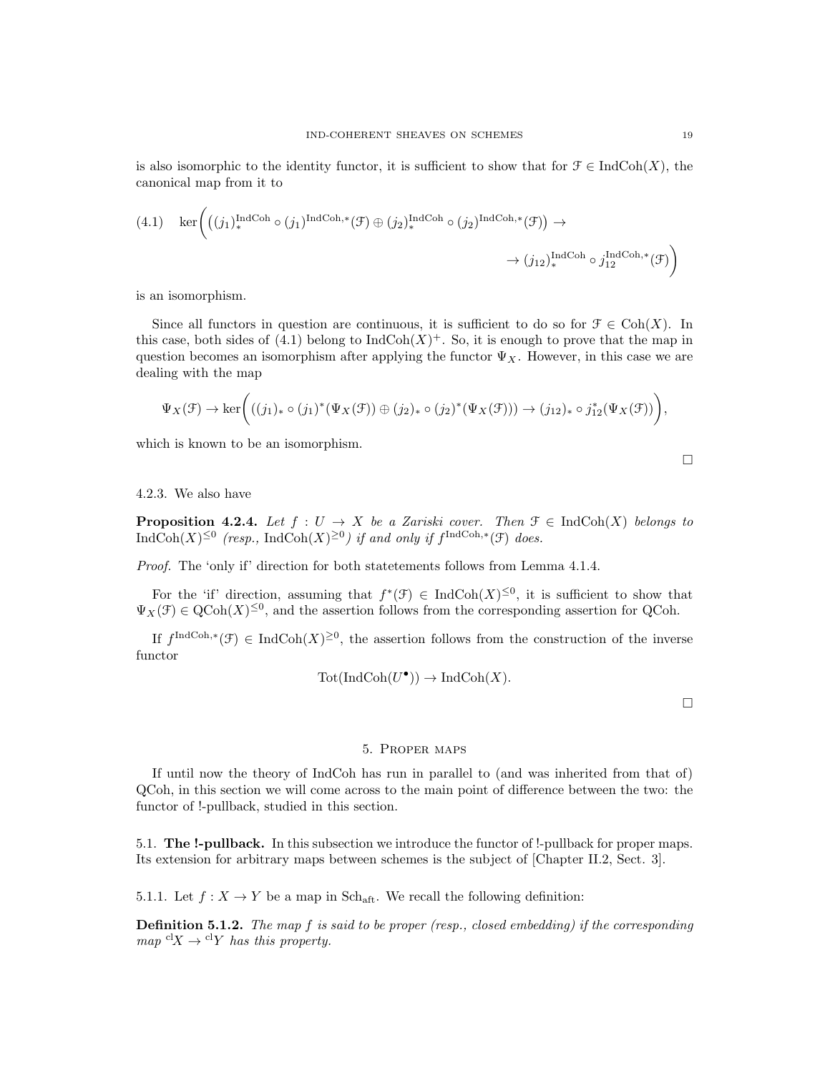(4.1) 
$$
\ker \left( ((j_1)_*^{\text{IndCoh}} \circ (j_1)^{\text{IndCoh},*} (\mathcal{F}) \oplus (j_2)_*^{\text{IndCoh}} \circ (j_2)^{\text{IndCoh},*} (\mathcal{F}) \right) \to
$$
  
 $\rightarrow (j_{12})_*^{\text{IndCoh}} \circ j_{12}^{\text{IndCoh},*} (\mathcal{F})$ 

is an isomorphism.

Since all functors in question are continuous, it is sufficient to do so for  $\mathcal{F} \in \text{Coh}(X)$ . In this case, both sides of (4.1) belong to  $\text{IndCoh}(X)^+$ . So, it is enough to prove that the map in question becomes an isomorphism after applying the functor  $\Psi_X$ . However, in this case we are dealing with the map

$$
\Psi_X(\mathcal{F}) \to \ker\bigg( ((j_1)_* \circ (j_1)^*(\Psi_X(\mathcal{F})) \oplus (j_2)_* \circ (j_2)^*(\Psi_X(\mathcal{F}))) \to (j_{12})_* \circ j_{12}^*(\Psi_X(\mathcal{F})) \bigg),
$$

which is known to be an isomorphism.

4.2.3. We also have

**Proposition 4.2.4.** Let  $f: U \to X$  be a Zariski cover. Then  $\mathcal{F} \in \text{IndCoh}(X)$  belongs to  $\text{IndCoh}(X)^{\leq 0}$  (resp.,  $\text{IndCoh}(X)^{\geq 0}$ ) if and only if  $f^{\text{IndCoh},*}(\mathcal{F})$  does.

Proof. The 'only if' direction for both statetements follows from Lemma 4.1.4.

For the 'if' direction, assuming that  $f^*(\mathcal{F}) \in \text{IndCoh}(X)^{\leq 0}$ , it is sufficient to show that  $\Psi_X(\mathcal{F}) \in \mathrm{QCoh}(X)^{\leq 0}$ , and the assertion follows from the corresponding assertion for QCoh.

If  $f^{\text{IndCoh},*}(\mathcal{F}) \in \text{IndCoh}(X)^{\geq 0}$ , the assertion follows from the construction of the inverse functor

$$
Tot(IndCoh(U^{\bullet})) \to IndCoh(X).
$$

 $\Box$ 

 $\Box$ 

#### 5. Proper maps

If until now the theory of IndCoh has run in parallel to (and was inherited from that of) QCoh, in this section we will come across to the main point of difference between the two: the functor of !-pullback, studied in this section.

5.1. The !-pullback. In this subsection we introduce the functor of !-pullback for proper maps. Its extension for arbitrary maps between schemes is the subject of [Chapter II.2, Sect. 3].

5.1.1. Let  $f: X \to Y$  be a map in Sch<sub>aft</sub>. We recall the following definition:

**Definition 5.1.2.** The map f is said to be proper (resp., closed embedding) if the corresponding map  ${}^{cl}X \rightarrow {}^{cl}Y$  has this property.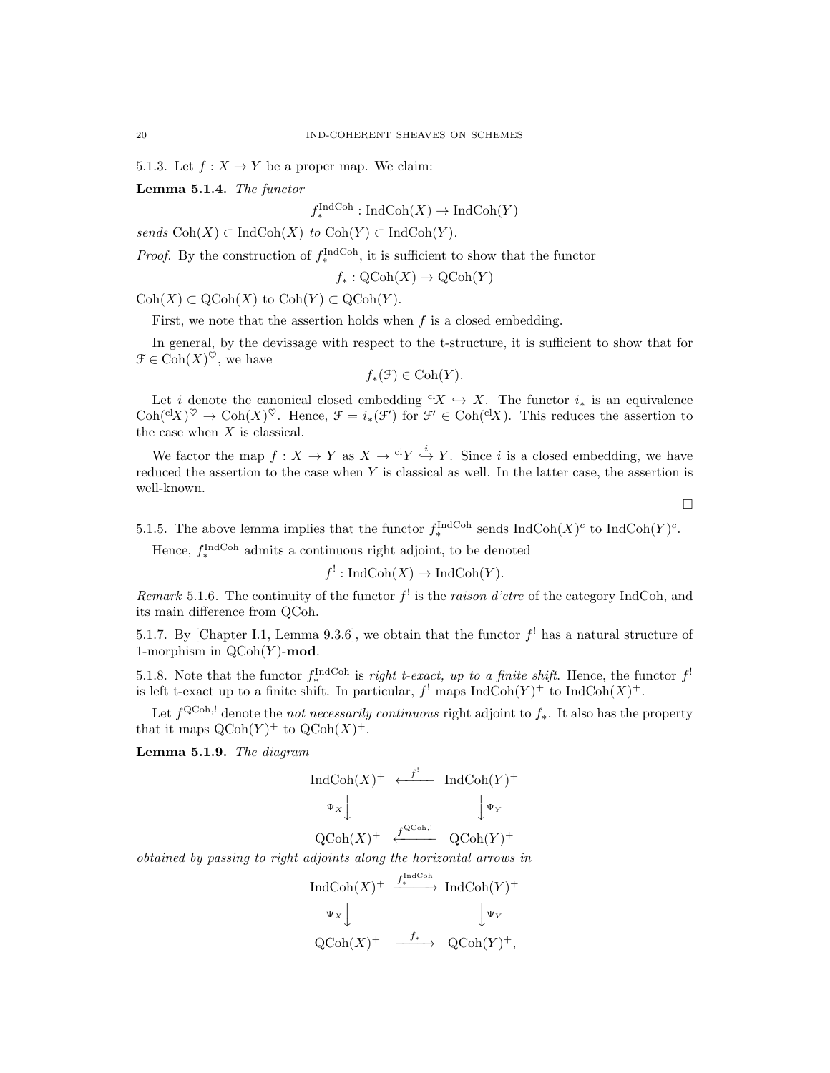5.1.3. Let  $f: X \to Y$  be a proper map. We claim:

Lemma 5.1.4. The functor

 $f_*^{\text{IndCoh}}: \text{IndCoh}(X) \to \text{IndCoh}(Y)$ 

sends  $\text{Coh}(X) \subset \text{IndCoh}(X)$  to  $\text{Coh}(Y) \subset \text{IndCoh}(Y)$ .

*Proof.* By the construction of  $f_*^{\text{IndCoh}}$ , it is sufficient to show that the functor

$$
f_*: \mathrm{QCoh}(X) \to \mathrm{QCoh}(Y)
$$

 $\mathrm{Coh}(X) \subset \mathrm{QCoh}(X)$  to  $\mathrm{Coh}(Y) \subset \mathrm{QCoh}(Y)$ .

First, we note that the assertion holds when  $f$  is a closed embedding.

In general, by the devissage with respect to the t-structure, it is sufficient to show that for  $\mathfrak{F} \in \mathrm{Coh}(X)^\heartsuit$ , we have

$$
f_*(\mathcal{F}) \in \mathrm{Coh}(Y).
$$

Let i denote the canonical closed embedding  ${}^{c1}X \hookrightarrow X$ . The functor  $i_*$  is an equivalence  $\mathrm{Coh}({}^{\mathrm{cl}} X)^\heartsuit \to \mathrm{Coh}(X)^\heartsuit$ . Hence,  $\mathfrak{F} = i_*(\mathfrak{F}')$  for  $\mathfrak{F}' \in \mathrm{Coh}({}^{\mathrm{cl}} X)$ . This reduces the assertion to the case when  $X$  is classical.

We factor the map  $f: X \to Y$  as  $X \to {}^{cl}Y \stackrel{i}{\hookrightarrow} Y$ . Since i is a closed embedding, we have reduced the assertion to the case when  $Y$  is classical as well. In the latter case, the assertion is well-known.

 $\Box$ 

5.1.5. The above lemma implies that the functor  $f_*^{\text{IndCoh}}$  sends  $\text{IndCoh}(X)^c$  to  $\text{IndCoh}(Y)^c$ .

Hence,  $f_*^{\text{IndCoh}}$  admits a continuous right adjoint, to be denoted

$$
f^!: \text{IndCoh}(X) \to \text{IndCoh}(Y).
$$

Remark 5.1.6. The continuity of the functor  $f^!$  is the raison d'etre of the category IndCoh, and its main difference from QCoh.

5.1.7. By [Chapter I.1, Lemma 9.3.6], we obtain that the functor  $f^!$  has a natural structure of 1-morphism in  $\mathrm{OCoh}(Y)$ -mod.

5.1.8. Note that the functor  $f_*^{\text{IndCoh}}$  is *right t-exact, up to a finite shift*. Hence, the functor  $f^!$ is left t-exact up to a finite shift. In particular,  $f'$  maps  $\text{IndCoh}(Y)^+$  to  $\text{IndCoh}(X)^+$ .

Let  $f^{\text{QCoh},!}$  denote the *not necessarily continuous* right adjoint to  $f_*$ . It also has the property that it maps  $\mathrm{QCoh}(Y)^+$  to  $\mathrm{QCoh}(X)^+$ .

Lemma 5.1.9. The diagram

$$
\begin{array}{ccc}\n\textup{Ind}\textup{Coh}(X)^+ &\xleftarrow{f^!} & \textup{Ind}\textup{Coh}(Y)^+ \\
\downarrow^{\Psi_X} & & \downarrow^{\Psi_Y} \\
\textup{QCoh}(X)^+ &\xleftarrow{f^{\textup{QCoh},!}} & \textup{QCoh}(Y)^+\n\end{array}
$$

obtained by passing to right adjoints along the horizontal arrows in

$$
\begin{array}{ccc}\n\text{Ind}\text{Coh}(X)^+ & \xrightarrow{f_*^{\text{Ind}\text{Coh}}}\text{Ind}\text{Coh}(Y)^+ \\
\downarrow^{\Psi_X}\downarrow & & \downarrow^{\Psi_Y} \\
\text{QCoh}(X)^+ & \xrightarrow{f_*} & \text{QCoh}(Y)^+, \\
\end{array}
$$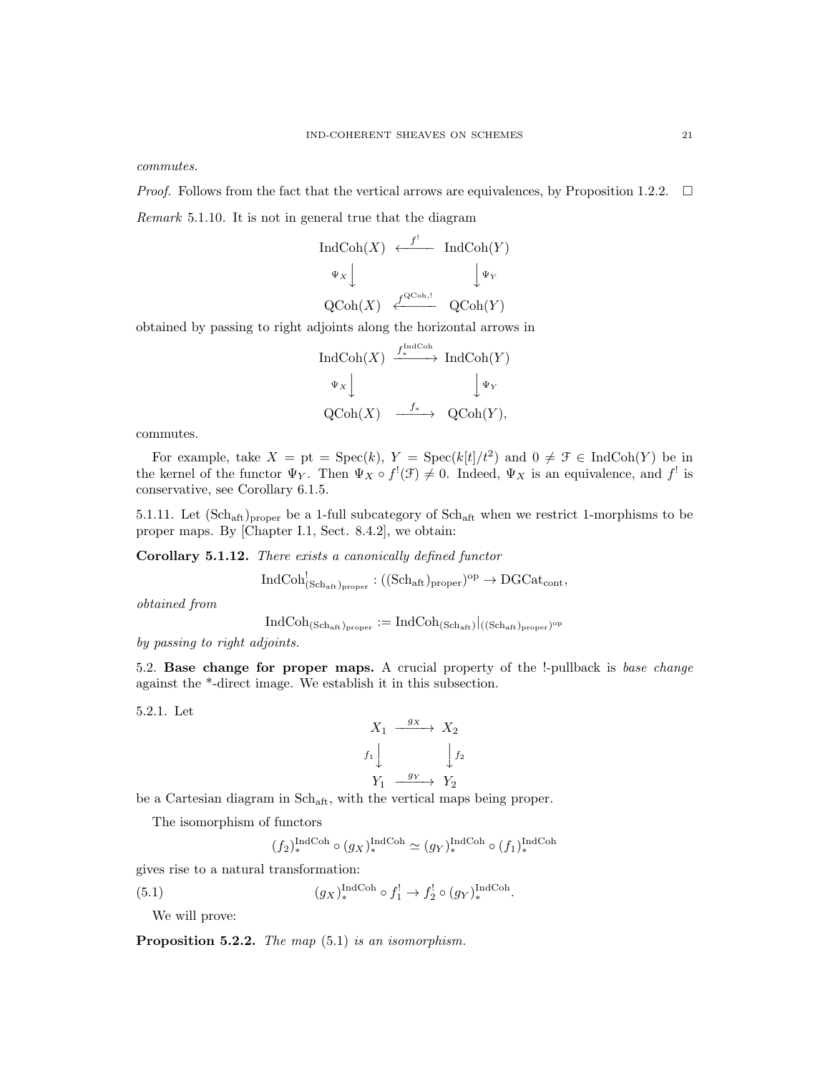commutes.

*Proof.* Follows from the fact that the vertical arrows are equivalences, by Proposition 1.2.2.  $\Box$ 

Remark 5.1.10. It is not in general true that the diagram

$$
\begin{array}{ccc}\n\text{IndCoh}(X) & \xleftarrow{f'} & \text{IndCoh}(Y) \\
\downarrow^{\Psi_X} & & \downarrow^{\Psi_Y} \\
\text{QCoh}(X) & \xleftarrow{f^{\text{QCoh},!}} & \text{QCoh}(Y)\n\end{array}
$$

obtained by passing to right adjoints along the horizontal arrows in

$$
\operatorname{IndCoh}(X) \xrightarrow{f_*^{\operatorname{IndCoh}}} \operatorname{IndCoh}(Y)
$$
  
\n
$$
\Psi_X \downarrow \qquad \qquad \downarrow \Psi_Y
$$
  
\n
$$
\operatorname{QCoh}(X) \xrightarrow{f_*} \operatorname{QCoh}(Y),
$$

commutes.

For example, take  $X = pt = \text{Spec}(k)$ ,  $Y = \text{Spec}(k[t]/t^2)$  and  $0 \neq \mathcal{F} \in \text{IndCoh}(Y)$  be in the kernel of the functor  $\Psi_Y$ . Then  $\Psi_X \circ f^!(\mathcal{F}) \neq 0$ . Indeed,  $\Psi_X$  is an equivalence, and  $f^!$  is conservative, see Corollary 6.1.5.

5.1.11. Let  $(\text{Sch}_{\text{aff}})_{\text{proper}}$  be a 1-full subcategory of  $\text{Sch}_{\text{aff}}$  when we restrict 1-morphisms to be proper maps. By [Chapter I.1, Sect. 8.4.2], we obtain:

Corollary 5.1.12. There exists a canonically defined functor

$$
\operatorname{IndCoh}^!_{(\operatorname{Sch}_{\operatorname{aft}})_{\operatorname{proper}}} : ((\operatorname{Sch}_{\operatorname{aft}})_{\operatorname{proper}})^{\operatorname{op}} \to \operatorname{DGCat}_{\operatorname{cont}},
$$

obtained from

$$
\operatorname{IndCoh}_{(\operatorname{Sch}_{\operatorname{aft}})_{\operatorname{proper}}}:=\operatorname{IndCoh}_{(\operatorname{Sch}_{\operatorname{aft}})}|_{((\operatorname{Sch}_{\operatorname{aft}})_{\operatorname{proper}})^{\operatorname{op}}}
$$

by passing to right adjoints.

5.2. Base change for proper maps. A crucial property of the !-pullback is base change against the \*-direct image. We establish it in this subsection.

5.2.1. Let

$$
X_1 \xrightarrow{gx} X_2
$$
  

$$
f_1 \downarrow \qquad \qquad f_2
$$
  

$$
Y_1 \xrightarrow{g_Y} Y_2
$$

be a Cartesian diagram in Schaft, with the vertical maps being proper.

The isomorphism of functors

$$
(f_2)^{\operatorname{IndCoh}}_* \circ (g_X)^{\operatorname{IndCoh}}_* \simeq (g_Y)^{\operatorname{IndCoh}}_* \circ (f_1)^{\operatorname{IndCoh}}_*
$$

gives rise to a natural transformation:

(5.1) 
$$
(g_X)_*^{\text{IndCoh}} \circ f_1^! \to f_2^! \circ (g_Y)_*^{\text{IndCoh}}.
$$

We will prove:

**Proposition 5.2.2.** The map  $(5.1)$  is an isomorphism.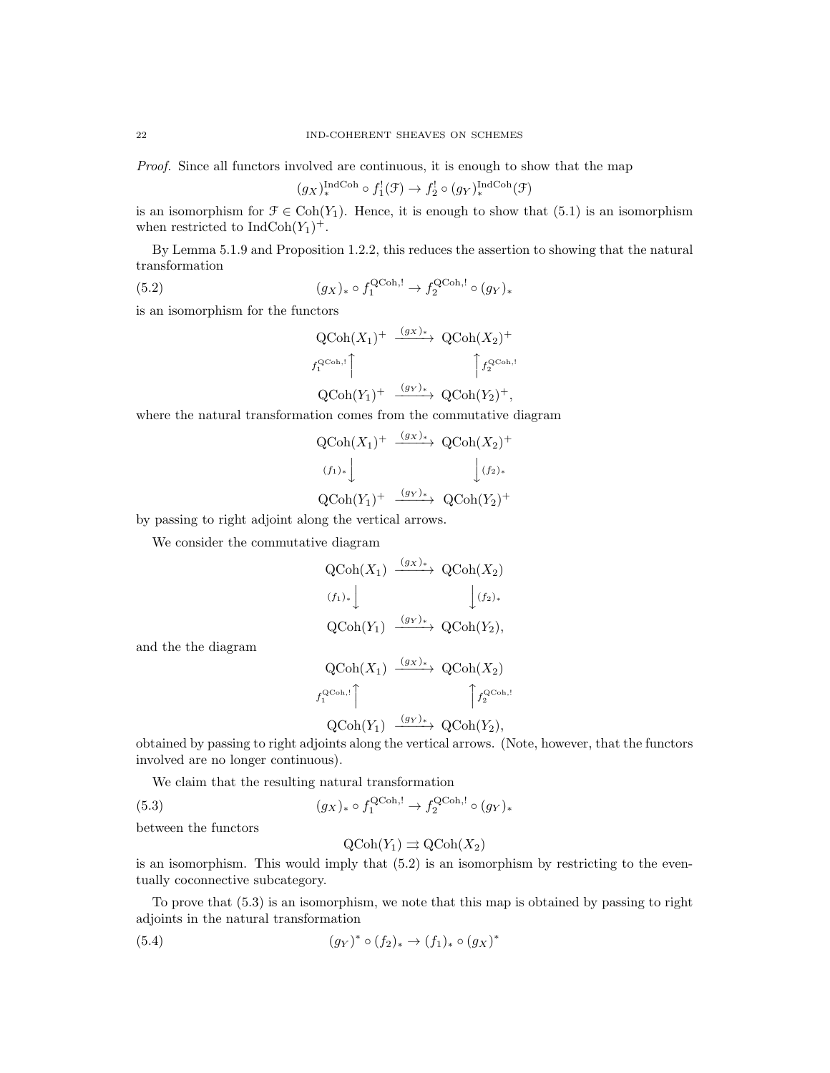Proof. Since all functors involved are continuous, it is enough to show that the map

$$
(g_X)_*^{\text{IndCoh}} \circ f_1^!(\mathcal{F}) \to f_2^! \circ (g_Y)_*^{\text{IndCoh}}(\mathcal{F})
$$

is an isomorphism for  $\mathcal{F} \in \text{Coh}(Y_1)$ . Hence, it is enough to show that (5.1) is an isomorphism when restricted to  $\text{IndCoh}(Y_1)^+$ .

By Lemma 5.1.9 and Proposition 1.2.2, this reduces the assertion to showing that the natural transformation

(5.2) 
$$
(g_X)_* \circ f_1^{\text{QCoh},!} \to f_2^{\text{QCoh},!} \circ (g_Y)_*
$$

is an isomorphism for the functors

$$
\begin{aligned}\n\operatorname{QCoh}(X_1)^+ \xrightarrow{(gx)_*} \operatorname{QCoh}(X_2)^+ \\
\downarrow f_1^{\operatorname{QCoh},!} \\
\operatorname{QCoh}(Y_1)^+ \xrightarrow{(gx)_*} \operatorname{QCoh}(Y_2)^+, \\
\end{aligned}
$$

where the natural transformation comes from the commutative diagram

$$
QCoh(X_1)^+ \xrightarrow{(g_X)_*} QCoh(X_2)^+
$$
  
\n
$$
(f_1)_* \downarrow \qquad \qquad \downarrow (f_2)_*
$$
  
\n
$$
QCoh(Y_1)^+ \xrightarrow{(g_Y)_*} QCoh(Y_2)^+
$$

by passing to right adjoint along the vertical arrows.

We consider the commutative diagram

$$
\begin{array}{ccc}\n\text{QCoh}(X_1) & \xrightarrow{(gx)_*} & \text{QCoh}(X_2) \\
\text{(f1)*} & & \downarrow \text{(f2)*} \\
\text{QCoh}(Y_1) & \xrightarrow{(gy)_*} & \text{QCoh}(Y_2), \\
\text{QCoh}(X_1) & \xrightarrow{(gx)_*} & \text{QCoh}(X_2)\n\end{array}
$$

and the the diagram

$$
\begin{aligned}\n\text{QCoh}(X_1) & \xrightarrow{(g_X)_*} \text{QCoh}(X_2) \\
\downarrow^{Q\text{Coh},!} \\
\uparrow^{Q\text{Coh},!} \\
\text{QCoh}(Y_1) & \xrightarrow{(g_Y)_*} \text{QCoh}(Y_2),\n\end{aligned}
$$

obtained by passing to right adjoints along the vertical arrows. (Note, however, that the functors involved are no longer continuous).

We claim that the resulting natural transformation

(5.3) 
$$
(g_X)_* \circ f_1^{\text{QCoh},!} \to f_2^{\text{QCoh},!} \circ (g_Y)_*
$$

between the functors

$$
\mathrm{QCoh}(Y_1) \rightrightarrows \mathrm{QCoh}(X_2)
$$

is an isomorphism. This would imply that (5.2) is an isomorphism by restricting to the eventually coconnective subcategory.

To prove that (5.3) is an isomorphism, we note that this map is obtained by passing to right adjoints in the natural transformation

(5.4) 
$$
(g_Y)^* \circ (f_2)_* \to (f_1)_* \circ (g_X)^*
$$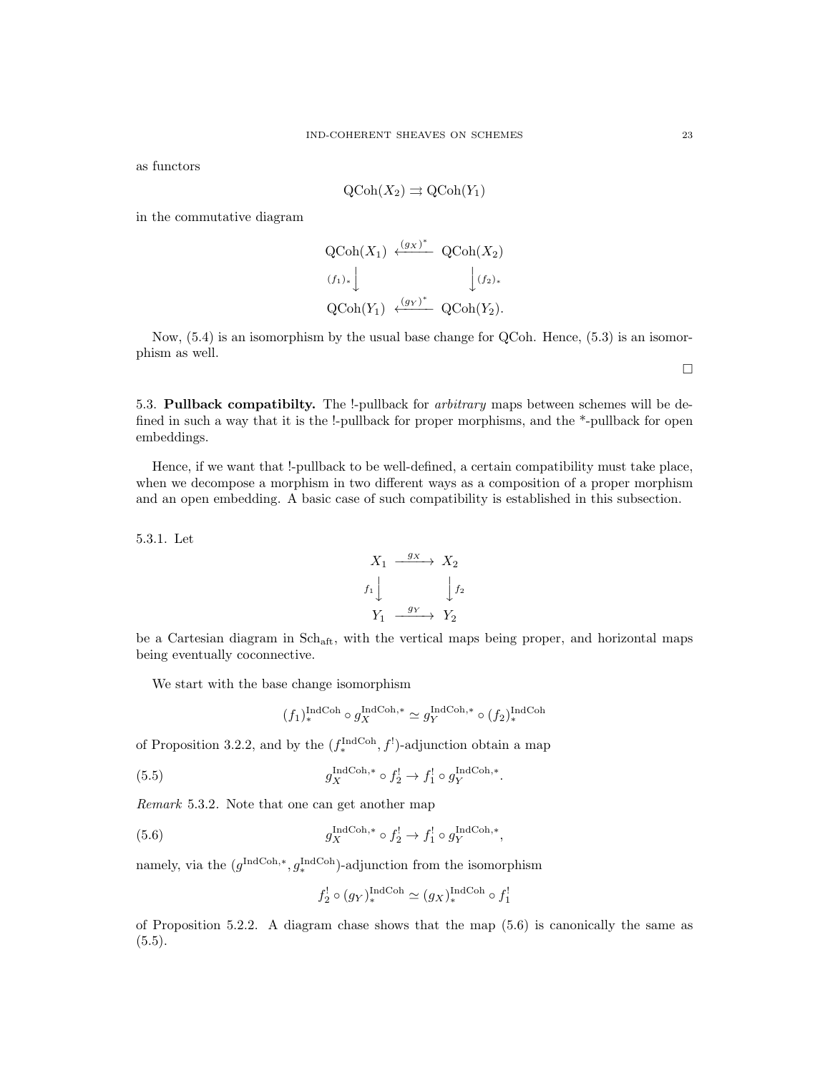as functors

$$
\mathrm{QCoh}(X_2) \rightrightarrows \mathrm{QCoh}(Y_1)
$$

in the commutative diagram

$$
\begin{aligned}\n\text{QCoh}(X_1) &\xleftarrow{(gx)^*} \text{QCoh}(X_2) \\
\text{(f_1)_*} &\qquad \qquad \downarrow \text{(f_2)_*} \\
\text{QCoh}(Y_1) &\xleftarrow{(g_Y)^*} \text{QCoh}(Y_2).\n\end{aligned}
$$

Now, (5.4) is an isomorphism by the usual base change for QCoh. Hence, (5.3) is an isomorphism as well.

5.3. Pullback compatibilty. The !-pullback for *arbitrary* maps between schemes will be defined in such a way that it is the !-pullback for proper morphisms, and the \*-pullback for open embeddings.

Hence, if we want that !-pullback to be well-defined, a certain compatibility must take place, when we decompose a morphism in two different ways as a composition of a proper morphism and an open embedding. A basic case of such compatibility is established in this subsection.

5.3.1. Let

$$
X_1 \xrightarrow{g_X} X_2
$$
  

$$
f_1 \downarrow \qquad \qquad \downarrow f_2
$$
  

$$
Y_1 \xrightarrow{g_Y} Y_2
$$

be a Cartesian diagram in  $Sch_{\text{aft}}$ , with the vertical maps being proper, and horizontal maps being eventually coconnective.

We start with the base change isomorphism

$$
(f_1)^{\operatorname{IndCoh}}_* \circ g_X^{\operatorname{IndCoh}, *} \simeq g_Y^{\operatorname{IndCoh}, *} \circ (f_2)^{\operatorname{IndCoh}}_*
$$

of Proposition 3.2.2, and by the  $(f_*^{\text{IndCoh}}, f')$ -adjunction obtain a map

(5.5) 
$$
g_X^{\text{IndCoh},*} \circ f_2^! \to f_1^! \circ g_Y^{\text{IndCoh},*}.
$$

Remark 5.3.2. Note that one can get another map

(5.6) 
$$
g_X^{\text{IndCoh},*} \circ f_2^! \to f_1^! \circ g_Y^{\text{IndCoh},*},
$$

namely, via the  $(g^{\text{IndCoh},*}, g^{\text{IndCoh}}_*)$ -adjunction from the isomorphism

$$
f_2^!\circ (g_Y)_*^{\operatorname{IndCoh}}\simeq (g_X)_*^{\operatorname{IndCoh}}\circ f_1^!
$$

of Proposition 5.2.2. A diagram chase shows that the map (5.6) is canonically the same as  $(5.5).$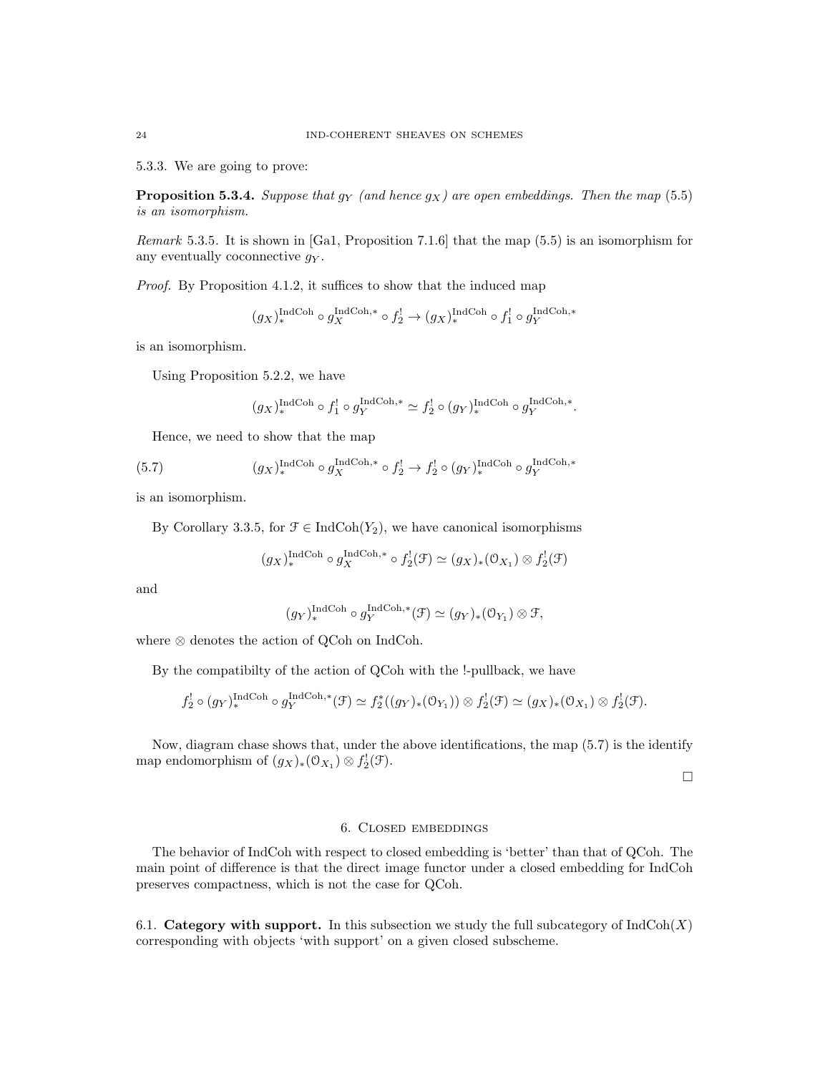5.3.3. We are going to prove:

**Proposition 5.3.4.** Suppose that  $g_Y$  (and hence  $g_X$ ) are open embeddings. Then the map (5.5) is an isomorphism.

Remark 5.3.5. It is shown in [Ga1, Proposition 7.1.6] that the map (5.5) is an isomorphism for any eventually coconnective  $q<sub>Y</sub>$ .

Proof. By Proposition 4.1.2, it suffices to show that the induced map

$$
(g_X)_*^{\text{IndCoh}} \circ g_X^{\text{IndCoh},*} \circ f_2^! \to (g_X)_*^{\text{IndCoh}} \circ f_1^! \circ g_Y^{\text{IndCoh},*}
$$

is an isomorphism.

Using Proposition 5.2.2, we have

$$
(g_X)_*^{\operatorname{IndCoh}}\circ f_1^!\circ g_Y^{\operatorname{IndCoh},*}\simeq f_2^!\circ (g_Y)_*^{\operatorname{IndCoh}}\circ g_Y^{\operatorname{IndCoh},*}.
$$

Hence, we need to show that the map

(5.7) 
$$
(g_X)_*^{\text{IndCoh}} \circ g_X^{\text{IndCoh},*} \circ f_2^! \to f_2^! \circ (g_Y)_*^{\text{IndCoh}} \circ g_Y^{\text{IndCoh},*}
$$

is an isomorphism.

By Corollary 3.3.5, for  $\mathcal{F} \in \text{IndCoh}(Y_2)$ , we have canonical isomorphisms

$$
(g_X)_*^{\text{IndCoh}} \circ g_X^{\text{IndCoh},*} \circ f_2^!(\mathcal{F}) \simeq (g_X)_*(\mathfrak{O}_{X_1}) \otimes f_2^!(\mathcal{F})
$$

and

$$
(g_Y)_*^{\text{IndCoh}} \circ g_Y^{\text{IndCoh},*}(\mathcal{F}) \simeq (g_Y)_*(\mathcal{O}_{Y_1}) \otimes \mathcal{F},
$$

where ⊗ denotes the action of QCoh on IndCoh.

By the compatibilty of the action of QCoh with the !-pullback, we have

$$
f_2^! \circ (g_Y)_*^{\text{IndCoh}} \circ g_Y^{\text{IndCoh},*}(\mathcal{F}) \simeq f_2^*((g_Y)_*(\mathcal{O}_{Y_1})) \otimes f_2^!(\mathcal{F}) \simeq (g_X)_*(\mathcal{O}_{X_1}) \otimes f_2^!(\mathcal{F}).
$$

Now, diagram chase shows that, under the above identifications, the map (5.7) is the identify map endomorphism of  $(g_X)_*(\mathfrak{O}_{X_1}) \otimes f_2^!(\mathfrak{F}).$ 

 $\Box$ 

# 6. Closed embeddings

The behavior of IndCoh with respect to closed embedding is 'better' than that of QCoh. The main point of difference is that the direct image functor under a closed embedding for IndCoh preserves compactness, which is not the case for QCoh.

6.1. Category with support. In this subsection we study the full subcategory of  $IndCoh(X)$ corresponding with objects 'with support' on a given closed subscheme.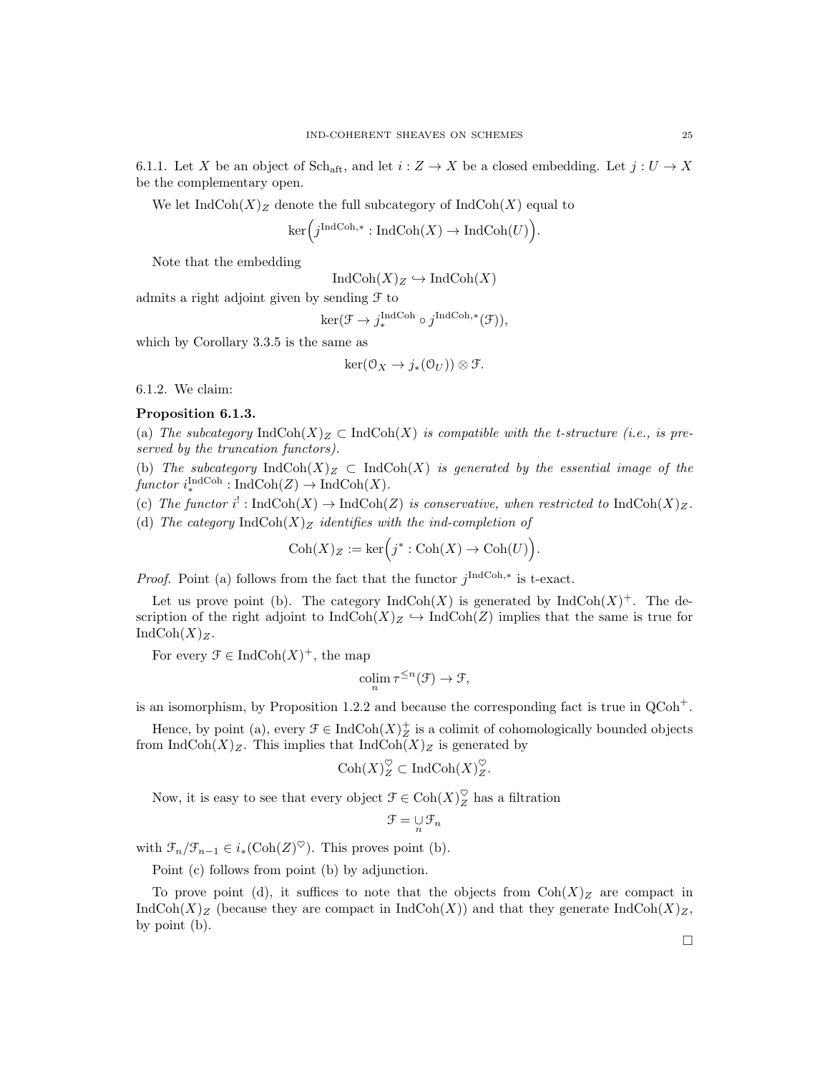6.1.1. Let X be an object of Sch<sub>aft</sub>, and let  $i: Z \to X$  be a closed embedding. Let  $j: U \to X$ be the complementary open.

We let  $\text{IndCoh}(X)_Z$  denote the full subcategory of  $\text{IndCoh}(X)$  equal to

$$
\ker\left(j^{\operatorname{IndCoh}, *} : \operatorname{IndCoh}(X) \to \operatorname{IndCoh}(U)\right).
$$

Note that the embedding

 $\text{IndCoh}(X)_Z \hookrightarrow \text{IndCoh}(X)$ 

admits a right adjoint given by sending  $\mathcal F$  to

 $\ker(\mathcal{F} \to j_*^{\text{IndCoh}} \circ j^{\text{IndCoh},*}(\mathcal{F})),$ 

which by Corollary 3.3.5 is the same as

$$
\ker(\mathfrak{O}_X \to j_*(\mathfrak{O}_U)) \otimes \mathfrak{F}.
$$

6.1.2. We claim:

### Proposition 6.1.3.

(a) The subcategory  $\text{IndCoh}(X)_Z \subset \text{IndCoh}(X)$  is compatible with the t-structure (i.e., is preserved by the truncation functors).

(b) The subcategory IndCoh(X) $_Z \subset \text{IndCoh}(X)$  is generated by the essential image of the functor  $i_*^{\text{IndCoh}} : \text{IndCoh}(Z) \to \text{IndCoh}(X)$ .

(c) The functor i<sup>1</sup>: IndCoh(X)  $\rightarrow$  IndCoh(Z) is conservative, when restricted to IndCoh(X)<sub>Z</sub>.

(d) The category IndCoh(X)<sub>Z</sub> identifies with the ind-completion of

$$
\mathrm{Coh}(X)_Z := \mathrm{ker}\Big(j^*:\mathrm{Coh}(X) \to \mathrm{Coh}(U)\Big).
$$

*Proof.* Point (a) follows from the fact that the functor  $j^{\text{IndCoh},*}$  is t-exact.

Let us prove point (b). The category  $\text{IndCoh}(X)$  is generated by  $\text{IndCoh}(X)^{+}$ . The description of the right adjoint to  $\text{IndCoh}(X)_Z \hookrightarrow \text{IndCoh}(Z)$  implies that the same is true for  $IndCoh(X)<sub>Z</sub>$ .

For every  $\mathcal{F} \in \text{IndCoh}(X)^{+}$ , the map

$$
\operatorname{colim}_{n} \tau^{\leq n}(\mathcal{F}) \to \mathcal{F},
$$

is an isomorphism, by Proposition 1.2.2 and because the corresponding fact is true in  $QCoh<sup>+</sup>$ .

Hence, by point (a), every  $\mathcal{F} \in \text{IndCoh}(X)_{\mathbb{Z}}^{+}$  is a colimit of cohomologically bounded objects from  $\text{IndCoh}(X)_Z$ . This implies that  $\text{IndCoh}(X)_Z$  is generated by

$$
\mathrm{Coh}(X)_{Z}^{\heartsuit} \subset \mathrm{IndCoh}(X)_{Z}^{\heartsuit}.
$$

Now, it is easy to see that every object  $\mathcal{F} \in \text{Coh}(X)_{Z}^{\heartsuit}$  has a filtration

$$
\mathcal{F}=\mathop{\cup}\limits_n \mathcal{F}_n
$$

with  $\mathcal{F}_n/\mathcal{F}_{n-1} \in i_*(\text{Coh}(Z)^\heartsuit)$ . This proves point (b).

Point (c) follows from point (b) by adjunction.

To prove point (d), it suffices to note that the objects from  $\text{Coh}(X)_Z$  are compact in IndCoh(X)<sub>Z</sub> (because they are compact in IndCoh(X)) and that they generate IndCoh(X)<sub>Z</sub>, by point (b).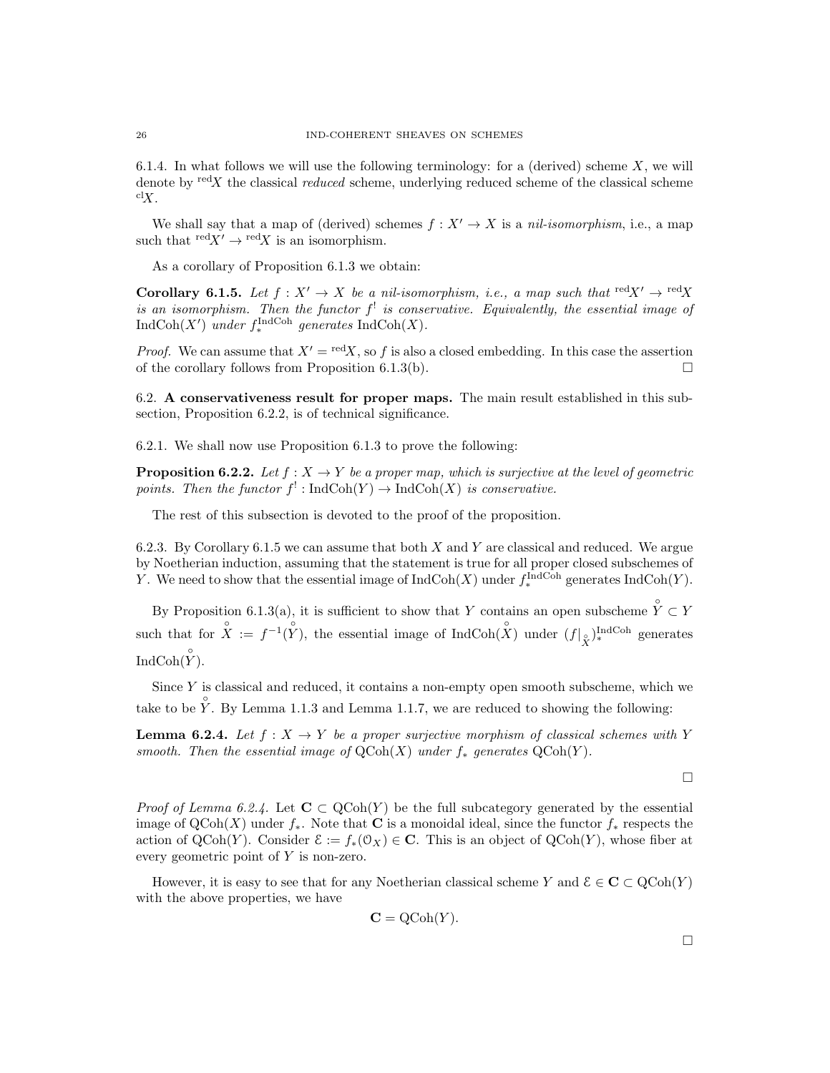6.1.4. In what follows we will use the following terminology: for a (derived) scheme  $X$ , we will denote by  $\text{red}X$  the classical *reduced* scheme, underlying reduced scheme of the classical scheme  $\mathrm{cl}_X$ .

We shall say that a map of (derived) schemes  $f : X' \to X$  is a nil-isomorphism, i.e., a map such that  $\text{red}X' \to \text{red}X$  is an isomorphism.

As a corollary of Proposition 6.1.3 we obtain:

**Corollary 6.1.5.** Let  $f: X' \to X$  be a nil-isomorphism, i.e., a map such that  $\text{red}X' \to \text{red}X$ is an isomorphism. Then the functor  $f^!$  is conservative. Equivalently, the essential image of  $\text{IndCoh}(X')$  under  $f_*^{\text{IndCoh}}$  generates  $\text{IndCoh}(X)$ .

*Proof.* We can assume that  $X' = \text{red}X$ , so f is also a closed embedding. In this case the assertion of the corollary follows from Proposition 6.1.3(b).  $\Box$ 

6.2. A conservativeness result for proper maps. The main result established in this subsection, Proposition 6.2.2, is of technical significance.

6.2.1. We shall now use Proposition 6.1.3 to prove the following:

**Proposition 6.2.2.** Let  $f : X \to Y$  be a proper map, which is surjective at the level of geometric points. Then the functor  $f' : \text{IndCoh}(Y) \to \text{IndCoh}(X)$  is conservative.

The rest of this subsection is devoted to the proof of the proposition.

6.2.3. By Corollary 6.1.5 we can assume that both  $X$  and  $Y$  are classical and reduced. We argue by Noetherian induction, assuming that the statement is true for all proper closed subschemes of Y. We need to show that the essential image of  $IndCoh(X)$  under  $f_*^{\text{IndCoh}}$  generates  $IndCoh(Y)$ .

By Proposition 6.1.3(a), it is sufficient to show that Y contains an open subscheme  $\hat{Y} \subset Y$ such that for  $\hat{X} := f^{-1}(\hat{Y})$ , the essential image of IndCoh $(\hat{X})$  under  $(f|_{\hat{X}})^{\text{IndCoh}}$  generates IndCoh $(\overset{\circ}{Y})$ .

Since  $Y$  is classical and reduced, it contains a non-empty open smooth subscheme, which we take to be  $\hat{Y}$ . By Lemma 1.1.3 and Lemma 1.1.7, we are reduced to showing the following:

**Lemma 6.2.4.** Let  $f: X \to Y$  be a proper surjective morphism of classical schemes with Y smooth. Then the essential image of  $\mathrm{QCoh}(X)$  under  $f_*$  generates  $\mathrm{QCoh}(Y)$ .

 $\Box$ 

*Proof of Lemma 6.2.4.* Let  $C \subset QCoh(Y)$  be the full subcategory generated by the essential image of  $\mathrm{QCoh}(X)$  under  $f_*$ . Note that **C** is a monoidal ideal, since the functor  $f_*$  respects the action of QCoh(Y). Consider  $\mathcal{E} := f_*(\mathcal{O}_X) \in \mathbb{C}$ . This is an object of QCoh(Y), whose fiber at every geometric point of Y is non-zero.

However, it is easy to see that for any Noetherian classical scheme Y and  $\mathcal{E} \in \mathbf{C} \subset Q\text{Coh}(Y)$ with the above properties, we have

$$
C = QCoh(Y).
$$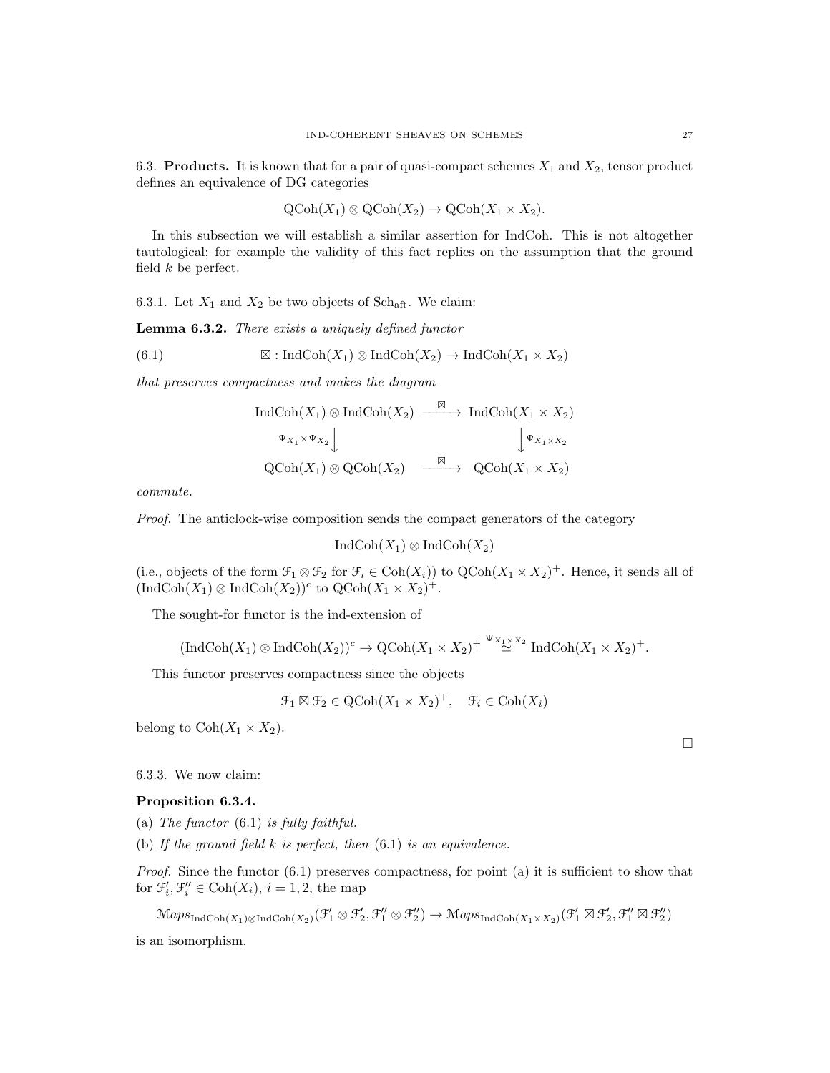6.3. Products. It is known that for a pair of quasi-compact schemes  $X_1$  and  $X_2$ , tensor product defines an equivalence of DG categories

$$
\text{QCoh}(X_1) \otimes \text{QCoh}(X_2) \to \text{QCoh}(X_1 \times X_2).
$$

In this subsection we will establish a similar assertion for IndCoh. This is not altogether tautological; for example the validity of this fact replies on the assumption that the ground field  $k$  be perfect.

6.3.1. Let  $X_1$  and  $X_2$  be two objects of Sch<sub>aft</sub>. We claim:

Lemma 6.3.2. There exists a uniquely defined functor

(6.1) 
$$
\boxtimes : IndCoh(X_1) \otimes IndCoh(X_2) \to IndCoh(X_1 \times X_2)
$$

that preserves compactness and makes the diagram

$$
\operatorname{IndCoh}(X_1) \otimes \operatorname{IndCoh}(X_2) \xrightarrow{\boxtimes} \operatorname{IndCoh}(X_1 \times X_2)
$$
  
\n
$$
\Psi_{X_1} \times \Psi_{X_2} \downarrow \qquad \qquad \downarrow \Psi_{X_1 \times X_2}
$$
  
\n
$$
\operatorname{QCoh}(X_1) \otimes \operatorname{QCoh}(X_2) \xrightarrow{\boxtimes} \operatorname{QCoh}(X_1 \times X_2)
$$

commute.

Proof. The anticlock-wise composition sends the compact generators of the category

$$
IndCoh(X_1) \otimes IndCoh(X_2)
$$

(i.e., objects of the form  $\mathcal{F}_1 \otimes \mathcal{F}_2$  for  $\mathcal{F}_i \in \text{Coh}(X_i)$ ) to  $\text{QCoh}(X_1 \times X_2)^+$ . Hence, it sends all of  $(\text{IndCoh}(X_1) \otimes \text{IndCoh}(X_2))^c$  to  $\text{QCoh}(X_1 \times X_2)^+$ .

The sought-for functor is the ind-extension of

$$
(\textup{Ind}\textup{Coh}(X_1)\otimes\textup{Ind}\textup{Coh}(X_2))^c\to \textup{QCoh}(X_1\times X_2)^+\stackrel{\Psi_{X_1\times X_2}}{\simeq}\textup{Ind}\textup{Coh}(X_1\times X_2)^+.
$$

This functor preserves compactness since the objects

$$
\mathcal{F}_1 \boxtimes \mathcal{F}_2 \in \mathrm{QCoh}(X_1 \times X_2)^+, \quad \mathcal{F}_i \in \mathrm{Coh}(X_i)
$$

belong to  $\text{Coh}(X_1 \times X_2)$ .

6.3.3. We now claim:

### Proposition 6.3.4.

- (a) The functor  $(6.1)$  is fully faithful.
- (b) If the ground field  $k$  is perfect, then  $(6.1)$  is an equivalence.

Proof. Since the functor  $(6.1)$  preserves compactness, for point (a) it is sufficient to show that for  $\mathcal{F}'_i, \mathcal{F}''_i \in \text{Coh}(X_i), i = 1, 2$ , the map

 $\mathrm{Maps}_{\mathrm{IndCoh}(X_1)\otimes\mathrm{IndCoh}(X_2)}(\mathcal{F}_1'\otimes\mathcal{F}_2',\mathcal{F}_1''\otimes\mathcal{F}_2'')\rightarrow\mathrm{Maps}_{\mathrm{IndCoh}(X_1\times X_2)}(\mathcal{F}_1'\boxtimes\mathcal{F}_2',\mathcal{F}_1''\boxtimes\mathcal{F}_2'')$ is an isomorphism.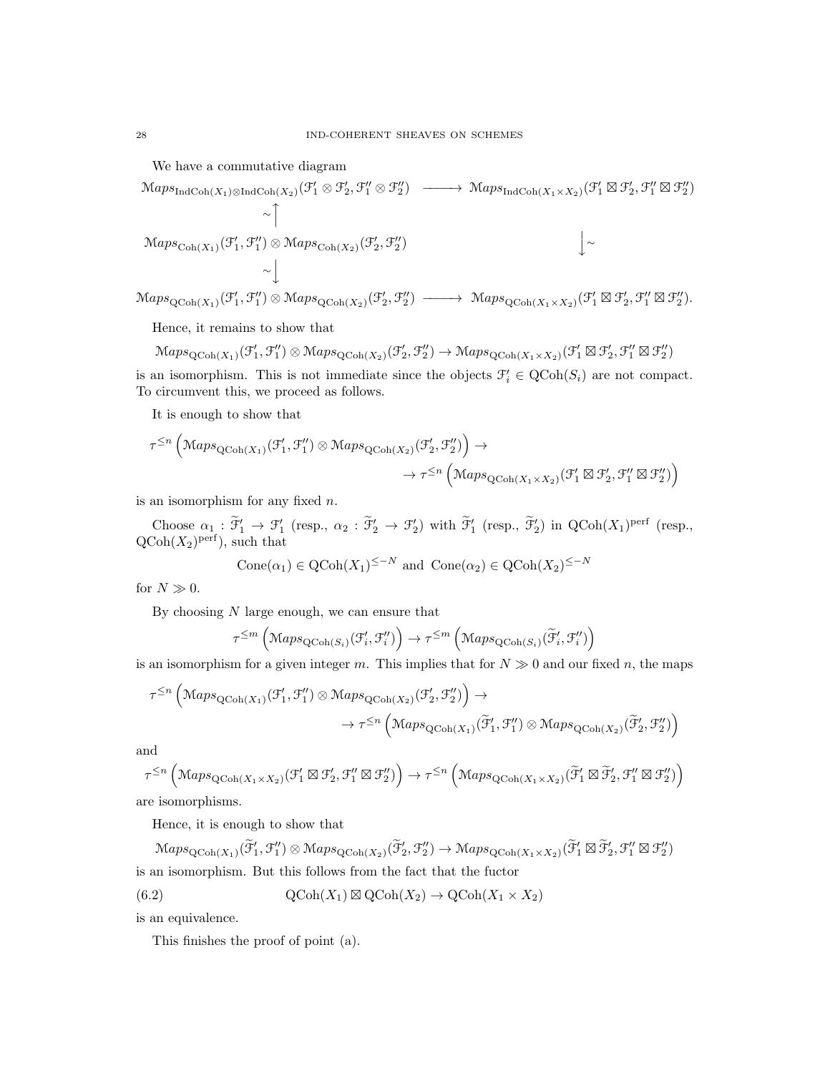We have a commutative diagram

MapsIndCoh(X1)⊗IndCoh(X2) (F 0 <sup>1</sup> ⊗ F 0 2 , F 00 <sup>1</sup> ⊗ F 00 2 ) −−−−→ MapsIndCoh(X1×X2) (F 0 <sup>1</sup> - F 0 2 , F 00 <sup>1</sup> - F 00 2 ) ∼ x MapsCoh(X1) (F 0 1 , F 00 1 ) ⊗ MapsCoh(X2) (F 0 2 , F 00 2 ) y∼ ∼ y

 $\operatorname{Maps}_{\operatorname{QCoh}(X_1)}(\mathcal{F}_1', \mathcal{F}_1'') \otimes \operatorname{Maps}_{\operatorname{QCoh}(X_2)}(\mathcal{F}_2', \mathcal{F}_2'') \longrightarrow \operatorname{Maps}_{\operatorname{QCoh}(X_1 \times X_2)}(\mathcal{F}_1' \boxtimes \mathcal{F}_2', \mathcal{F}_1'' \boxtimes \mathcal{F}_2'').$ 

Hence, it remains to show that

$$
\mathrm{Maps}_{\mathrm{QCoh}(X_1)}(\mathcal{F}_1', \mathcal{F}_1'') \otimes \mathrm{Maps}_{\mathrm{QCoh}(X_2)}(\mathcal{F}_2', \mathcal{F}_2'') \to \mathrm{Maps}_{\mathrm{QCoh}(X_1 \times X_2)}(\mathcal{F}_1' \boxtimes \mathcal{F}_2', \mathcal{F}_1'' \boxtimes \mathcal{F}_2'')
$$

is an isomorphism. This is not immediate since the objects  $\mathcal{F}'_i \in \text{QCoh}(S_i)$  are not compact. To circumvent this, we proceed as follows.

It is enough to show that

$$
\tau^{\leq n} \left( \operatorname{Maps}_{\operatorname{QCoh}(X_1)}(\mathcal{F}_1', \mathcal{F}_1'') \otimes \operatorname{Maps}_{\operatorname{QCoh}(X_2)}(\mathcal{F}_2', \mathcal{F}_2'') \right) \to \\ \to \tau^{\leq n} \left( \operatorname{Maps}_{\operatorname{QCoh}(X_1 \times X_2)}(\mathcal{F}_1' \boxtimes \mathcal{F}_2', \mathcal{F}_1'' \boxtimes \mathcal{F}_2'') \right)
$$

is an isomorphism for any fixed  $n$ .

Choose  $\alpha_1 : \tilde{\mathcal{F}}'_1 \to \mathcal{F}'_1$  (resp.,  $\alpha_2 : \tilde{\mathcal{F}}'_2 \to \mathcal{F}'_2$ ) with  $\tilde{\mathcal{F}}'_1$  (resp.,  $\tilde{\mathcal{F}}'_2$ ) in  $\mathrm{QCoh}(X_1)^\mathrm{perf}$  (resp.,  $\mathrm{QCoh}(X_2)^\mathrm{perf}$ , such that

$$
Cone(\alpha_1) \in QCoh(X_1)^{\leq -N} \text{ and } Cone(\alpha_2) \in QCoh(X_2)^{\leq -N}
$$

for  $N \gg 0$ .

By choosing  $N$  large enough, we can ensure that

$$
\tau^{\leq m}\left(\mathrm{Maps}_{\mathrm{QCoh}(S_i)}(\mathcal{F}'_i, \mathcal{F}''_i)\right) \to \tau^{\leq m}\left(\mathrm{Maps}_{\mathrm{QCoh}(S_i)}(\widetilde{\mathcal{F}}'_i, \mathcal{F}''_i)\right)
$$

is an isomorphism for a given integer m. This implies that for  $N \gg 0$  and our fixed n, the maps

$$
\tau^{\leq n} \left( \operatorname{Maps}_{\operatorname{QCoh}(X_1)}(\mathcal{F}'_1, \mathcal{F}''_1) \otimes \operatorname{Maps}_{\operatorname{QCoh}(X_2)}(\mathcal{F}'_2, \mathcal{F}''_2) \right) \to \\ \to \tau^{\leq n} \left( \operatorname{Maps}_{\operatorname{QCoh}(X_1)}(\widetilde{\mathcal{F}}'_1, \mathcal{F}''_1) \otimes \operatorname{Maps}_{\operatorname{QCoh}(X_2)}(\widetilde{\mathcal{F}}'_2, \mathcal{F}''_2) \right)
$$

and

$$
\tau^{\leq n} \left( \mathsf{Maps}_{\mathrm{QCoh}(X_1\times X_2)}(\mathcal{F}_1'\boxtimes \mathcal{F}_2', \mathcal{F}_1''\boxtimes \mathcal{F}_2'')\right) \rightarrow \tau^{\leq n} \left( \mathsf{Maps}_{\mathrm{QCoh}(X_1\times X_2)}(\widetilde{\mathcal{F}}_1'\boxtimes \widetilde{\mathcal{F}}_2', \mathcal{F}_1''\boxtimes \mathcal{F}_2'')\right)
$$

are isomorphisms.

Hence, it is enough to show that

 $\operatorname{Maps}_{\operatorname{QCoh}(X_1)}(\widetilde{\mathcal{F}}'_1, \mathcal{F}''_1) \otimes \operatorname{Maps}_{\operatorname{QCoh}(X_2)}(\widetilde{\mathcal{F}}'_2, \mathcal{F}''_2) \to \operatorname{Maps}_{\operatorname{QCoh}(X_1 \times X_2)}(\widetilde{\mathcal{F}}'_1 \boxtimes \widetilde{\mathcal{F}}'_2, \mathcal{F}''_1 \boxtimes \mathcal{F}''_2)$ is an isomorphism. But this follows from the fact that the fuctor

(6.2) 
$$
\operatorname{QCoh}(X_1) \boxtimes \operatorname{QCoh}(X_2) \to \operatorname{QCoh}(X_1 \times X_2)
$$

is an equivalence.

This finishes the proof of point (a).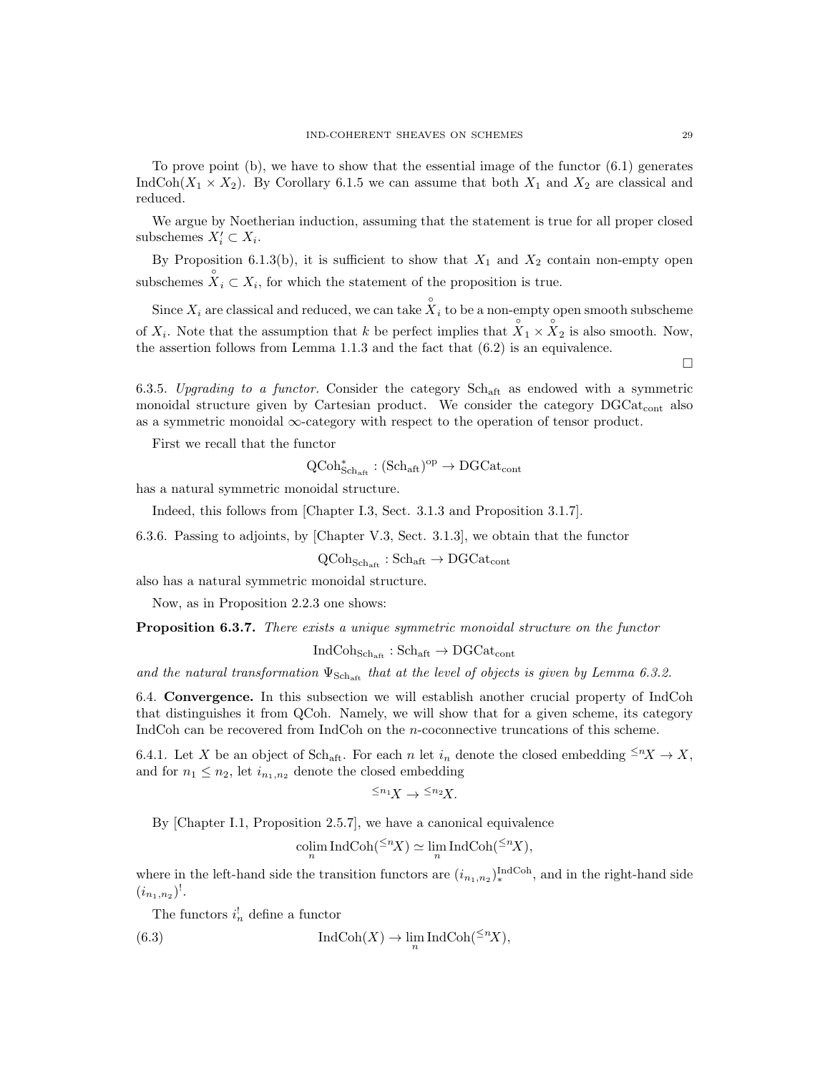To prove point  $(b)$ , we have to show that the essential image of the functor  $(6.1)$  generates IndCoh( $X_1 \times X_2$ ). By Corollary 6.1.5 we can assume that both  $X_1$  and  $X_2$  are classical and reduced.

We argue by Noetherian induction, assuming that the statement is true for all proper closed subschemes  $X'_i \subset X_i$ .

By Proposition 6.1.3(b), it is sufficient to show that  $X_1$  and  $X_2$  contain non-empty open subschemes  $\mathring{X}_i \subset X_i$ , for which the statement of the proposition is true.

Since  $X_i$  are classical and reduced, we can take  $\stackrel{\circ}{X}_i$  to be a non-empty open smooth subscheme of  $X_i$ . Note that the assumption that k be perfect implies that  $\hat{X}_1 \times \hat{X}_2$  is also smooth. Now, the assertion follows from Lemma 1.1.3 and the fact that (6.2) is an equivalence.

6.3.5. Upgrading to a functor. Consider the category  $Sch_{\text{aff}}$  as endowed with a symmetric monoidal structure given by Cartesian product. We consider the category  $DGCat_{cont}$  also as a symmetric monoidal  $\infty$ -category with respect to the operation of tensor product.

First we recall that the functor

$$
\operatorname{QCoh}^*_{\operatorname{Sch}_{\operatorname{aft}}}:(\operatorname{Sch}_{\operatorname{aft}})^{\operatorname{op}}\to \operatorname{DGCat}_{\operatorname{cont}}
$$

has a natural symmetric monoidal structure.

Indeed, this follows from [Chapter I.3, Sect. 3.1.3 and Proposition 3.1.7].

6.3.6. Passing to adjoints, by [Chapter V.3, Sect. 3.1.3], we obtain that the functor

 $QCoh_{Sch_{\text{eff}}} : Sch_{\text{aff}} \to DGCat_{\text{cont}}$ 

also has a natural symmetric monoidal structure.

Now, as in Proposition 2.2.3 one shows:

**Proposition 6.3.7.** There exists a unique symmetric monoidal structure on the functor

 $IndCoh<sub>Sch<sub>aff</sub></sub> : Sch<sub>aff</sub> \rightarrow DGCat<sub>cont</sub>$ 

and the natural transformation  $\Psi_{\text{Sch}_{\text{aff}}}$  that at the level of objects is given by Lemma 6.3.2.

6.4. Convergence. In this subsection we will establish another crucial property of IndCoh that distinguishes it from QCoh. Namely, we will show that for a given scheme, its category IndCoh can be recovered from IndCoh on the n-coconnective truncations of this scheme.

6.4.1. Let X be an object of Sch<sub>aft</sub>. For each n let  $i_n$  denote the closed embedding  $\leq^n X \to X$ , and for  $n_1 \leq n_2$ , let  $i_{n_1,n_2}$  denote the closed embedding

$$
^{\leq n_1}\! X \to ^{\leq n_2}\! X.
$$

By [Chapter I.1, Proposition 2.5.7], we have a canonical equivalence

$$
\underset{n}{\text{colim}} \operatorname{IndCoh}({}^{\leq n}X) \simeq \lim_{n} \operatorname{IndCoh}({}^{\leq n}X),
$$

where in the left-hand side the transition functors are  $(i_{n_1,n_2})_*^{\text{IndCoh}}$ , and in the right-hand side  $(i_{n_1,n_2})^!$ .

The functors  $i_n^!$  define a functor

(6.3) 
$$
\operatorname{IndCoh}(X) \to \lim_{n} \operatorname{IndCoh}({}^{\leq n}X),
$$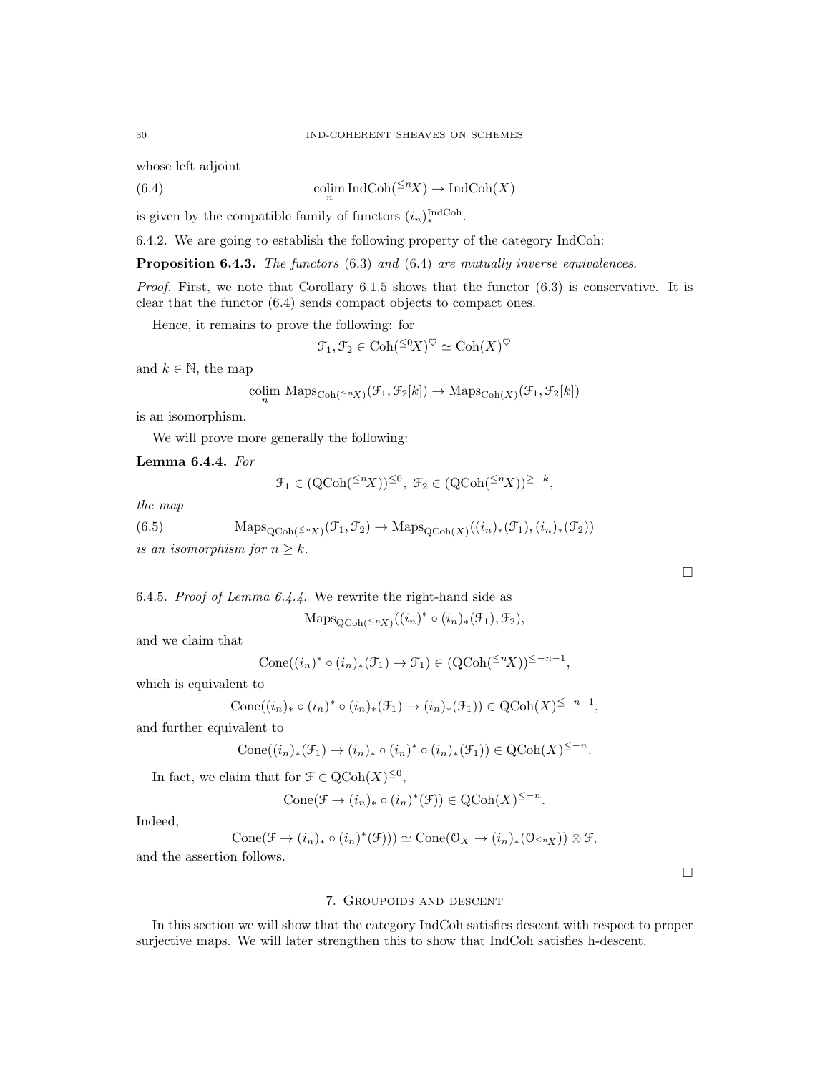whose left adjoint

(6.4) 
$$
\operatorname{colim}_{n} \operatorname{IndCoh}({}^{\leq n}X) \to \operatorname{IndCoh}(X)
$$

is given by the compatible family of functors  $(i_n)_*^{\text{IndCoh}}$ .

6.4.2. We are going to establish the following property of the category IndCoh:

Proposition 6.4.3. The functors (6.3) and (6.4) are mutually inverse equivalences.

*Proof.* First, we note that Corollary  $6.1.5$  shows that the functor  $(6.3)$  is conservative. It is clear that the functor (6.4) sends compact objects to compact ones.

Hence, it remains to prove the following: for

$$
\mathcal{F}_1, \mathcal{F}_2 \in \mathrm{Coh}({}^{\leq 0}X)^\heartsuit \simeq \mathrm{Coh}(X)^\heartsuit
$$

and  $k \in \mathbb{N}$ , the map

$$
\underset{n}{\text{colim}} \text{ Maps}_{\text{Coh}(\leq^n X)}(\mathcal{F}_1, \mathcal{F}_2[k]) \to \text{Maps}_{\text{Coh}(X)}(\mathcal{F}_1, \mathcal{F}_2[k])
$$

is an isomorphism.

We will prove more generally the following:

Lemma 6.4.4. For

$$
\mathcal{F}_1 \in (\mathrm{QCoh}({}^{\leq n}X))^{\leq 0}, \ \mathcal{F}_2 \in (\mathrm{QCoh}({}^{\leq n}X))^{\geq -k},
$$

the map

(6.5) 
$$
\operatorname{Maps}_{\mathrm{QCoh}(\leq nX)}(\mathcal{F}_1, \mathcal{F}_2) \to \operatorname{Maps}_{\mathrm{QCoh}(X)}((i_n)_*(\mathcal{F}_1), (i_n)_*(\mathcal{F}_2))
$$

is an isomorphism for  $n\geq k.$ 

6.4.5. Proof of Lemma 6.4.4. We rewrite the right-hand side as

 $\operatorname{Maps}_{\operatorname{QCoh}({\leq} nX)}((i_n)^* \circ (i_n)_*({\mathcal F}_1), {\mathcal F}_2),$ 

and we claim that

$$
Cone((i_n)^* \circ (i_n)_*(\mathcal{F}_1) \to \mathcal{F}_1) \in (QCoh(\leq^n X))^{\leq -n-1},
$$

which is equivalent to

$$
Cone((i_n)_* \circ (i_n)^* \circ (i_n)_*(\mathcal{F}_1) \to (i_n)_*(\mathcal{F}_1)) \in QCoh(X)^{\leq -n-1},
$$

and further equivalent to

$$
Cone((i_n)_*(\mathcal{F}_1) \to (i_n)_* \circ (i_n)^* \circ (i_n)_*(\mathcal{F}_1)) \in QCoh(X)^{\leq -n}.
$$

In fact, we claim that for  $\mathcal{F} \in \mathrm{QCoh}(X)^{\leq 0}$ ,

$$
Cone(\mathcal{F} \to (i_n)_* \circ (i_n)^*(\mathcal{F})) \in QCoh(X)^{\leq -n}.
$$

Indeed,

$$
Cone(\mathcal{F} \to (i_n)_* \circ (i_n)^*(\mathcal{F}))) \simeq Cone(\mathcal{O}_X \to (i_n)_*(\mathcal{O}_{\leq n_X})) \otimes \mathcal{F},
$$

and the assertion follows.

 $\Box$ 

# 7. Groupoids and descent

In this section we will show that the category IndCoh satisfies descent with respect to proper surjective maps. We will later strengthen this to show that IndCoh satisfies h-descent.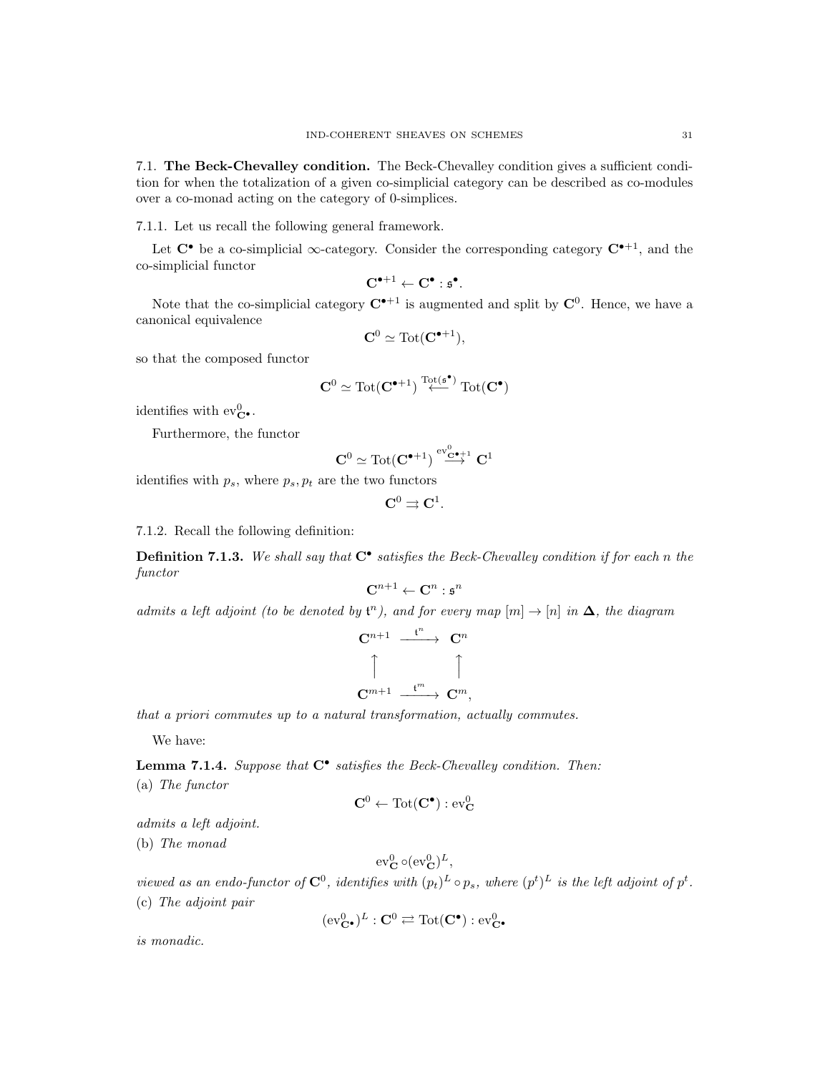7.1. The Beck-Chevalley condition. The Beck-Chevalley condition gives a sufficient condition for when the totalization of a given co-simplicial category can be described as co-modules over a co-monad acting on the category of 0-simplices.

7.1.1. Let us recall the following general framework.

Let  $\mathbb{C}^{\bullet}$  be a co-simplicial  $\infty$ -category. Consider the corresponding category  $\mathbb{C}^{\bullet+1}$ , and the co-simplicial functor

$$
\mathbf{C}^{\bullet+1} \leftarrow \mathbf{C}^{\bullet} : \mathfrak{s}^{\bullet}.
$$

Note that the co-simplicial category  $C^{\bullet+1}$  is augmented and split by  $C^0$ . Hence, we have a canonical equivalence

$$
\mathbf{C}^0 \simeq \mathrm{Tot}(\mathbf{C}^{\bullet+1}),
$$

so that the composed functor

$$
\mathbf{C}^0 \simeq \mathrm{Tot}(\mathbf{C}^{\bullet+1}) \overset{\mathrm{Tot}(\mathfrak{s}^\bullet)}{\longleftarrow} \mathrm{Tot}(\mathbf{C}^\bullet)
$$

identifies with  $ev_{\mathbf{C}^{\bullet}}^{0}$ .

Furthermore, the functor

$$
\mathbf{C}^0\simeq\mathrm{Tot}(\mathbf{C}^{\bullet+1})\stackrel{\mathrm{ev}^0_{\mathbf{C}^{\bullet+1}}}{\longrightarrow}\mathbf{C}^1
$$

identifies with  $p_s$ , where  $p_s, p_t$  are the two functors

$$
\mathbf{C}^0 \rightrightarrows \mathbf{C}^1.
$$

7.1.2. Recall the following definition:

**Definition 7.1.3.** We shall say that  $C^{\bullet}$  satisfies the Beck-Chevalley condition if for each n the functor

$$
\mathbf{C}^{n+1} \leftarrow \mathbf{C}^n : \mathfrak{s}^n
$$

admits a left adjoint (to be denoted by  $\mathfrak{t}^n$ ), and for every map  $[m] \to [n]$  in  $\Delta$ , the diagram

$$
\begin{array}{ccc} \mathbf{C}^{n+1} & \xrightarrow{\mathbf{t}^n} & \mathbf{C}^n \\ \uparrow & & \uparrow \\ \mathbf{C}^{m+1} & \xrightarrow{\mathbf{t}^m} & \mathbf{C}^m, \end{array}
$$

that a priori commutes up to a natural transformation, actually commutes.

We have:

**Lemma 7.1.4.** Suppose that  $C^{\bullet}$  satisfies the Beck-Chevalley condition. Then: (a) The functor

$$
\mathbf{C}^0 \leftarrow \mathrm{Tot}(\mathbf{C}^\bullet) : \mathrm{ev}^0_\mathbf{C}
$$

admits a left adjoint.

(b) The monad

$$
\text{ev}_{\mathbf{C}}^0 \circ (\text{ev}_{\mathbf{C}}^0)^L,
$$

viewed as an endo-functor of  $\mathbb{C}^0$ , identifies with  $(p_t)^L \circ p_s$ , where  $(p^t)^L$  is the left adjoint of  $p^t$ . (c) The adjoint pair

$$
(\mathrm{ev}^0_{\mathbf{C}^\bullet})^L : \mathbf{C}^0 \rightleftarrows \mathrm{Tot}(\mathbf{C}^\bullet) : \mathrm{ev}^0_{\mathbf{C}^\bullet}
$$

is monadic.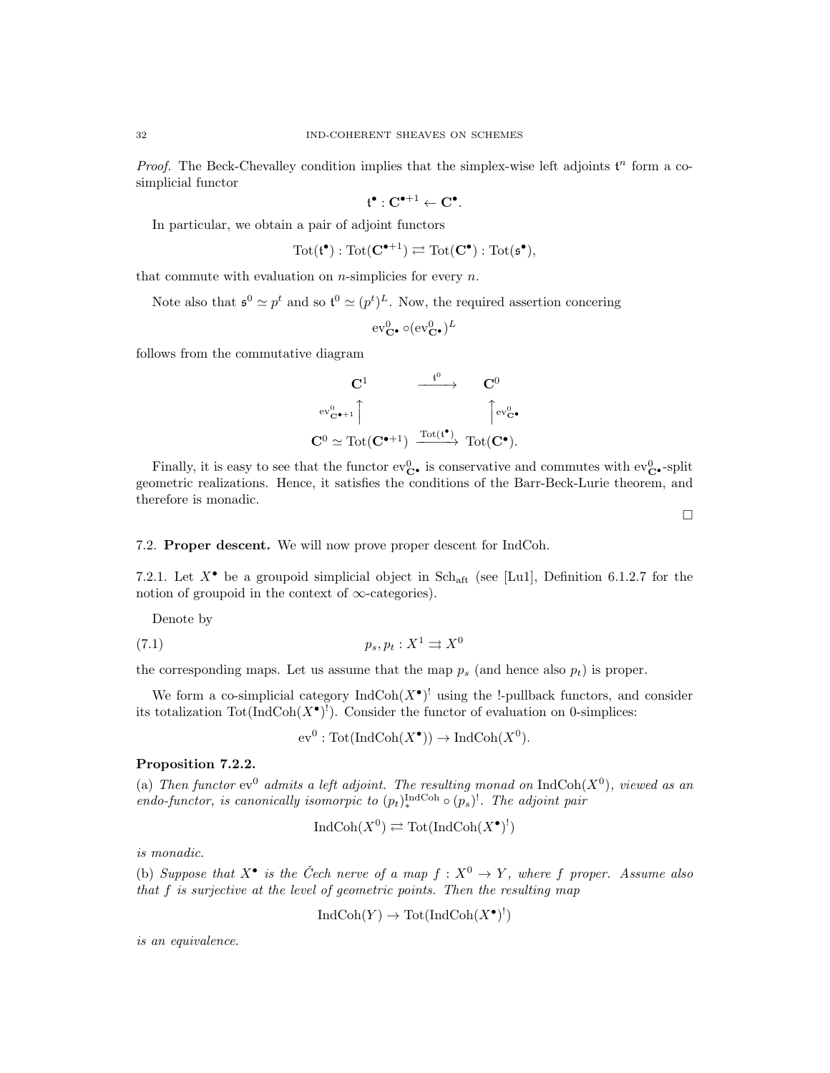*Proof.* The Beck-Chevalley condition implies that the simplex-wise left adjoints  $t^n$  form a cosimplicial functor

$$
\mathfrak{t}^\bullet:C^{\bullet+1}\leftarrow C^\bullet.
$$

In particular, we obtain a pair of adjoint functors

$$
\operatorname{Tot}(\mathfrak{t}^{\bullet}) : \operatorname{Tot}(\mathbf{C}^{\bullet+1}) \rightleftarrows \operatorname{Tot}(\mathbf{C}^{\bullet}) : \operatorname{Tot}(\mathfrak{s}^{\bullet}),
$$

that commute with evaluation on  $n$ -simplicies for every  $n$ .

Note also that  $\mathfrak{s}^0 \simeq p^t$  and so  $\mathfrak{t}^0 \simeq (p^t)^L$ . Now, the required assertion concering

$$
\mathrm{ev}^0_{\mathbf{C}^\bullet}\circ(\mathrm{ev}^0_{\mathbf{C}^\bullet})^L
$$

follows from the commutative diagram

$$
\begin{array}{ccc}\n\mathbf{C}^1 & \xrightarrow{\mathbf{t}^0} & \mathbf{C}^0 \\
\text{ev}_{\mathbf{C}^\bullet+1}^0 \uparrow & & \uparrow \text{ev}_{\mathbf{C}^\bullet}^0 \\
\mathbf{C}^0 \simeq \text{Tot}(\mathbf{C}^{\bullet+1}) & \xrightarrow{\text{Tot}(\mathbf{t}^\bullet)} \text{Tot}(\mathbf{C}^\bullet).\n\end{array}
$$

Finally, it is easy to see that the functor  $ev_{\mathbf{C}\bullet}^0$  is conservative and commutes with  $ev_{\mathbf{C}\bullet}^0$ -split geometric realizations. Hence, it satisfies the conditions of the Barr-Beck-Lurie theorem, and therefore is monadic.

 $\Box$ 

# 7.2. Proper descent. We will now prove proper descent for IndCoh.

7.2.1. Let  $X^{\bullet}$  be a groupoid simplicial object in Sch<sub>aft</sub> (see [Lu1], Definition 6.1.2.7 for the notion of groupoid in the context of  $\infty$ -categories).

Denote by

$$
(7.1) \t\t\t p_s, p_t: X^1 \rightrightarrows X^0
$$

the corresponding maps. Let us assume that the map  $p_s$  (and hence also  $p_t$ ) is proper.

We form a co-simplicial category  $\text{IndCoh}(X^{\bullet})^!$  using the !-pullback functors, and consider its totalization  $\text{Tot}(\text{IndCoh}(X^{\bullet})^!)$ . Consider the functor of evaluation on 0-simplices:

 $ev^0 : \text{Tot}(\text{IndCoh}(X^{\bullet})) \to \text{IndCoh}(X^0).$ 

# Proposition 7.2.2.

(a) Then functor  $ev^0$  admits a left adjoint. The resulting monad on  $IndCoh(X^0)$ , viewed as an endo-functor, is canonically isomorpic to  $(p_t)_{\ast}^{\text{IndCoh}} \circ (p_s)^!$ . The adjoint pair

$$
IndCoh(X^0) \rightleftarrows Tot(IndCoh(X^{\bullet})^!)
$$

is monadic.

(b) Suppose that  $X^{\bullet}$  is the Čech nerve of a map  $f : X^{0} \to Y$ , where f proper. Assume also that f is surjective at the level of geometric points. Then the resulting map

$$
IndCoh(Y) \to Tot(IndCoh(X^{\bullet})^!)
$$

is an equivalence.